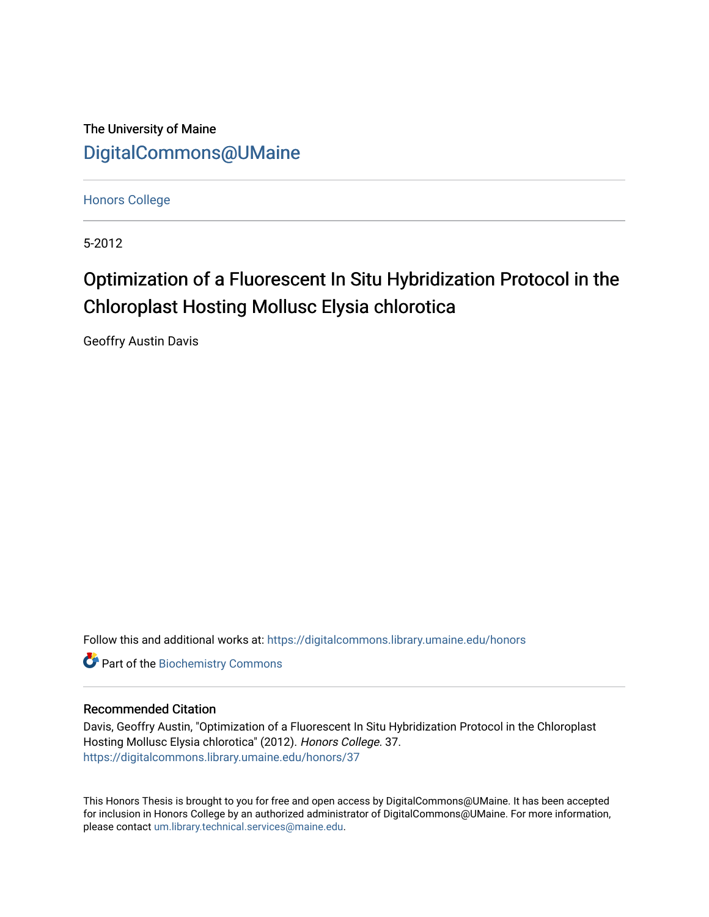The University of Maine [DigitalCommons@UMaine](https://digitalcommons.library.umaine.edu/)

[Honors College](https://digitalcommons.library.umaine.edu/honors)

5-2012

# Optimization of a Fluorescent In Situ Hybridization Protocol in the Chloroplast Hosting Mollusc Elysia chlorotica

Geoffry Austin Davis

Follow this and additional works at: [https://digitalcommons.library.umaine.edu/honors](https://digitalcommons.library.umaine.edu/honors?utm_source=digitalcommons.library.umaine.edu%2Fhonors%2F37&utm_medium=PDF&utm_campaign=PDFCoverPages) 

**Part of the Biochemistry Commons** 

# Recommended Citation

Davis, Geoffry Austin, "Optimization of a Fluorescent In Situ Hybridization Protocol in the Chloroplast Hosting Mollusc Elysia chlorotica" (2012). Honors College. 37. [https://digitalcommons.library.umaine.edu/honors/37](https://digitalcommons.library.umaine.edu/honors/37?utm_source=digitalcommons.library.umaine.edu%2Fhonors%2F37&utm_medium=PDF&utm_campaign=PDFCoverPages) 

This Honors Thesis is brought to you for free and open access by DigitalCommons@UMaine. It has been accepted for inclusion in Honors College by an authorized administrator of DigitalCommons@UMaine. For more information, please contact [um.library.technical.services@maine.edu.](mailto:um.library.technical.services@maine.edu)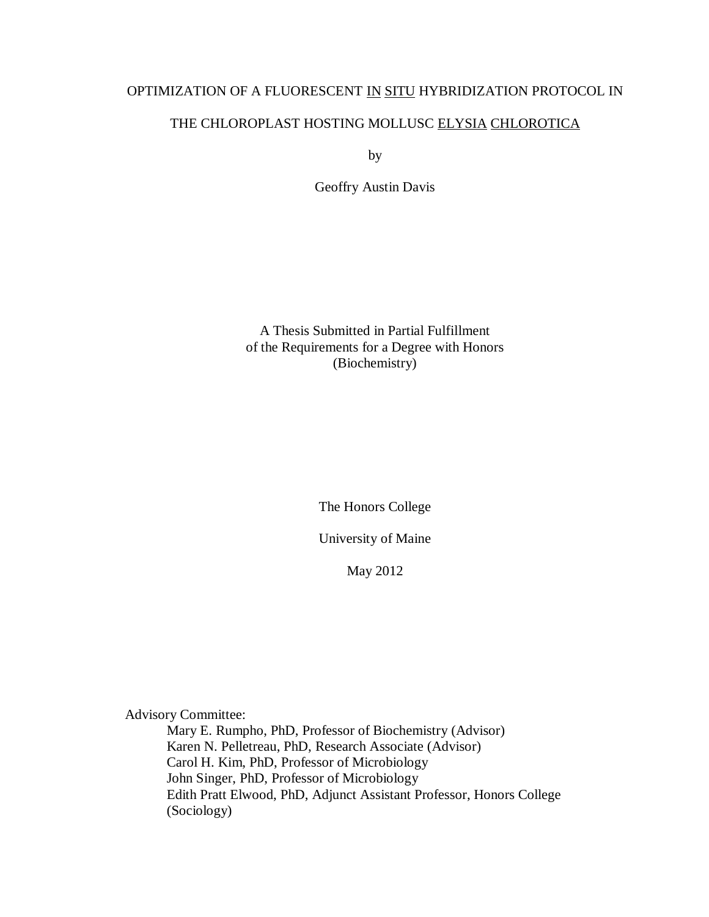# OPTIMIZATION OF A FLUORESCENT IN SITU HYBRIDIZATION PROTOCOL IN

# THE CHLOROPLAST HOSTING MOLLUSC ELYSIA CHLOROTICA

by

Geoffry Austin Davis

A Thesis Submitted in Partial Fulfillment of the Requirements for a Degree with Honors (Biochemistry)

The Honors College

University of Maine

May 2012

Advisory Committee:

Mary E. Rumpho, PhD, Professor of Biochemistry (Advisor) Karen N. Pelletreau, PhD, Research Associate (Advisor) Carol H. Kim, PhD, Professor of Microbiology John Singer, PhD, Professor of Microbiology Edith Pratt Elwood, PhD, Adjunct Assistant Professor, Honors College (Sociology)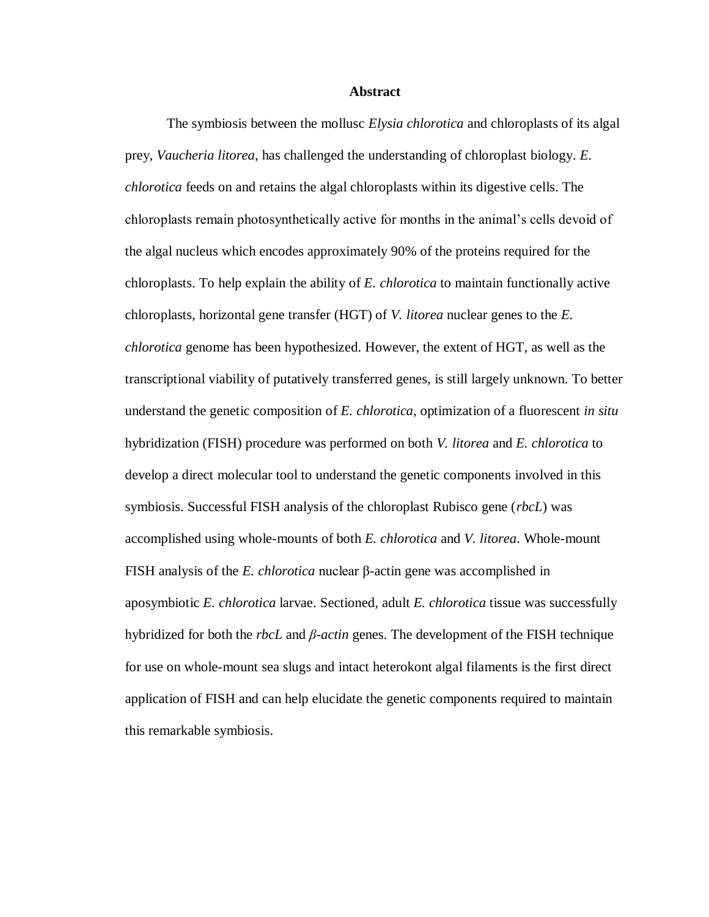# **Abstract**

The symbiosis between the mollusc *Elysia chlorotica* and chloroplasts of its algal prey, *Vaucheria litorea*, has challenged the understanding of chloroplast biology. *E. chlorotica* feeds on and retains the algal chloroplasts within its digestive cells. The chloroplasts remain photosynthetically active for months in the animal's cells devoid of the algal nucleus which encodes approximately 90% of the proteins required for the chloroplasts. To help explain the ability of *E. chlorotica* to maintain functionally active chloroplasts, horizontal gene transfer (HGT) of *V. litorea* nuclear genes to the *E. chlorotica* genome has been hypothesized. However, the extent of HGT, as well as the transcriptional viability of putatively transferred genes, is still largely unknown. To better understand the genetic composition of *E. chlorotica*, optimization of a fluorescent *in situ* hybridization (FISH) procedure was performed on both *V. litorea* and *E. chlorotica* to develop a direct molecular tool to understand the genetic components involved in this symbiosis. Successful FISH analysis of the chloroplast Rubisco gene (*rbcL*) was accomplished using whole-mounts of both *E. chlorotica* and *V. litorea*. Whole-mount FISH analysis of the *E. chlorotica* nuclear β-actin gene was accomplished in aposymbiotic *E. chlorotica* larvae. Sectioned, adult *E. chlorotica* tissue was successfully hybridized for both the *rbcL* and *β-actin* genes. The development of the FISH technique for use on whole-mount sea slugs and intact heterokont algal filaments is the first direct application of FISH and can help elucidate the genetic components required to maintain this remarkable symbiosis.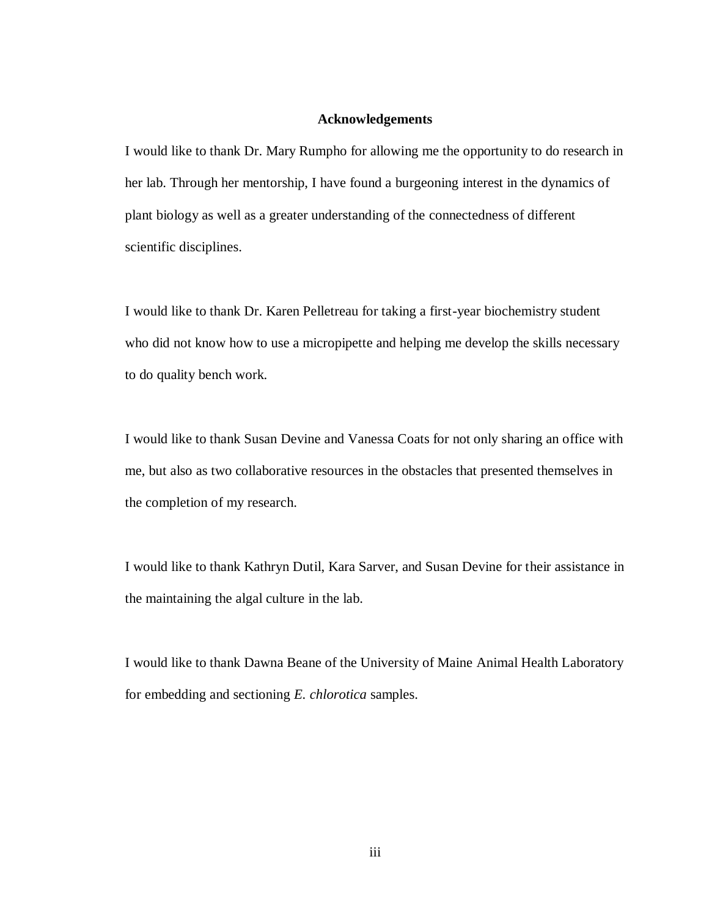## **Acknowledgements**

I would like to thank Dr. Mary Rumpho for allowing me the opportunity to do research in her lab. Through her mentorship, I have found a burgeoning interest in the dynamics of plant biology as well as a greater understanding of the connectedness of different scientific disciplines.

I would like to thank Dr. Karen Pelletreau for taking a first-year biochemistry student who did not know how to use a micropipette and helping me develop the skills necessary to do quality bench work.

I would like to thank Susan Devine and Vanessa Coats for not only sharing an office with me, but also as two collaborative resources in the obstacles that presented themselves in the completion of my research.

I would like to thank Kathryn Dutil, Kara Sarver, and Susan Devine for their assistance in the maintaining the algal culture in the lab.

I would like to thank Dawna Beane of the University of Maine Animal Health Laboratory for embedding and sectioning *E. chlorotica* samples.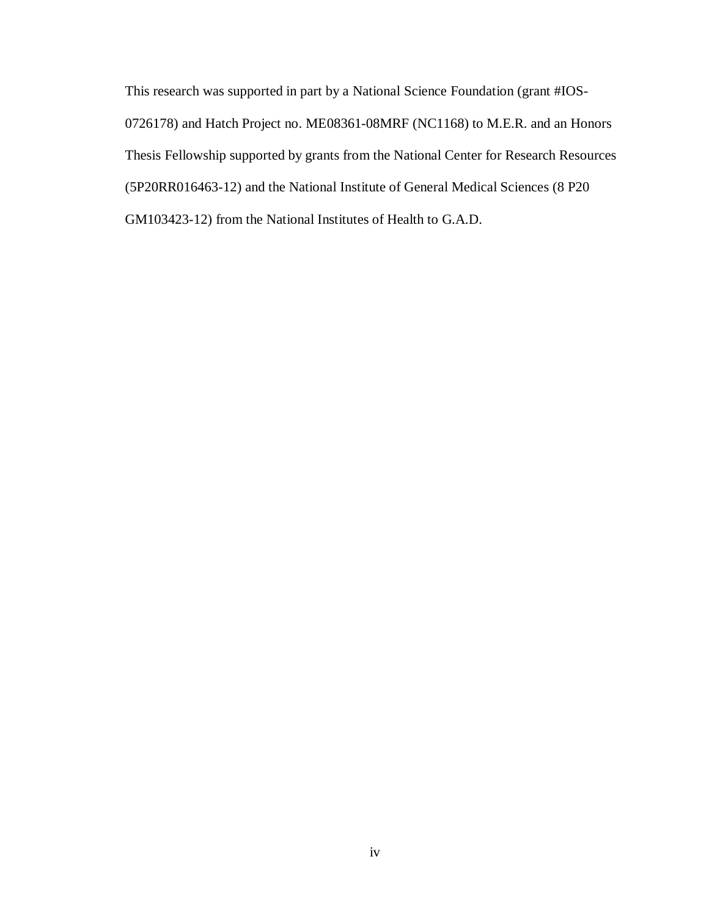This research was supported in part by a National Science Foundation (grant #IOS-0726178) and Hatch Project no. ME08361-08MRF (NC1168) to M.E.R. and an Honors Thesis Fellowship supported by grants from the National Center for Research Resources (5P20RR016463-12) and the National Institute of General Medical Sciences (8 P20 GM103423-12) from the National Institutes of Health to G.A.D.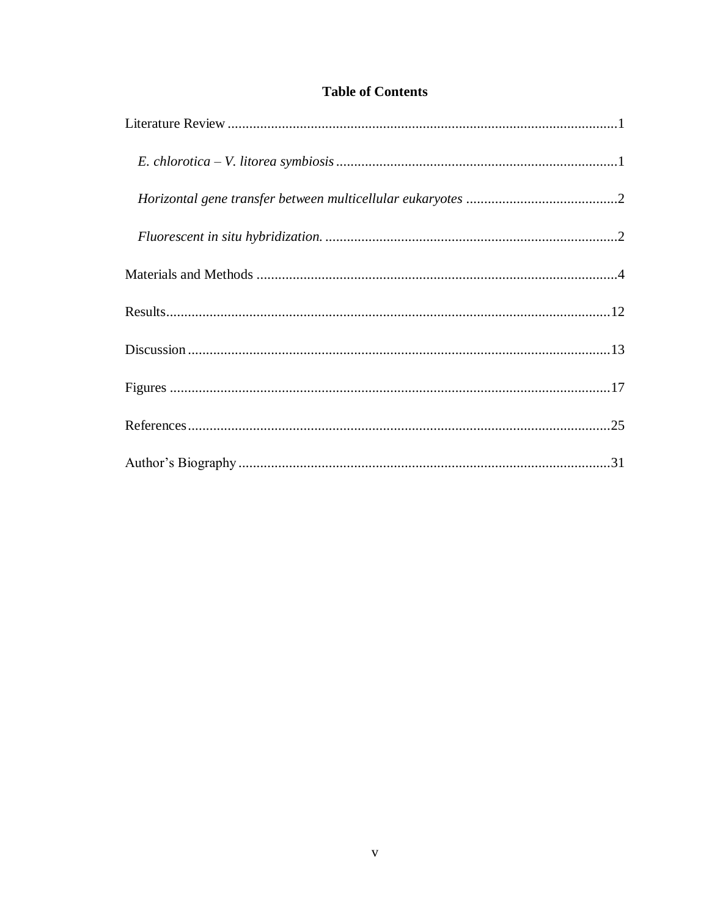# **Table of Contents**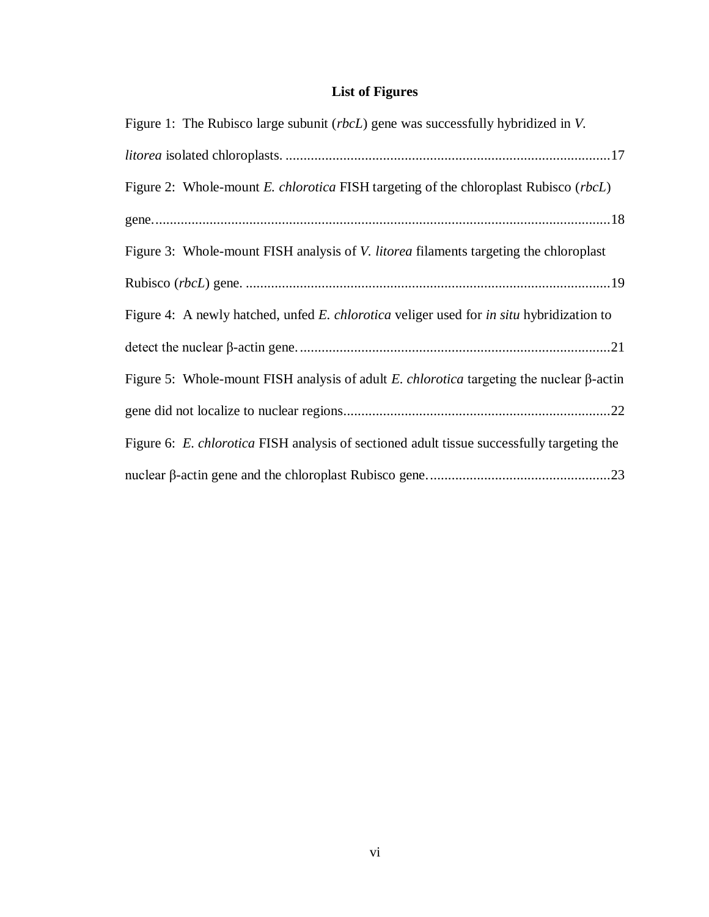# **List of Figures**

| Figure 1: The Rubisco large subunit ( <i>rbcL</i> ) gene was successfully hybridized in V.           |
|------------------------------------------------------------------------------------------------------|
|                                                                                                      |
| Figure 2: Whole-mount <i>E. chlorotica</i> FISH targeting of the chloroplast Rubisco ( <i>rbcL</i> ) |
|                                                                                                      |
| Figure 3: Whole-mount FISH analysis of <i>V. litorea</i> filaments targeting the chloroplast         |
|                                                                                                      |
| Figure 4: A newly hatched, unfed E. chlorotica veliger used for in situ hybridization to             |
|                                                                                                      |
| Figure 5: Whole-mount FISH analysis of adult E. chlorotica targeting the nuclear $\beta$ -actin      |
|                                                                                                      |
| Figure 6: E. chlorotica FISH analysis of sectioned adult tissue successfully targeting the           |
|                                                                                                      |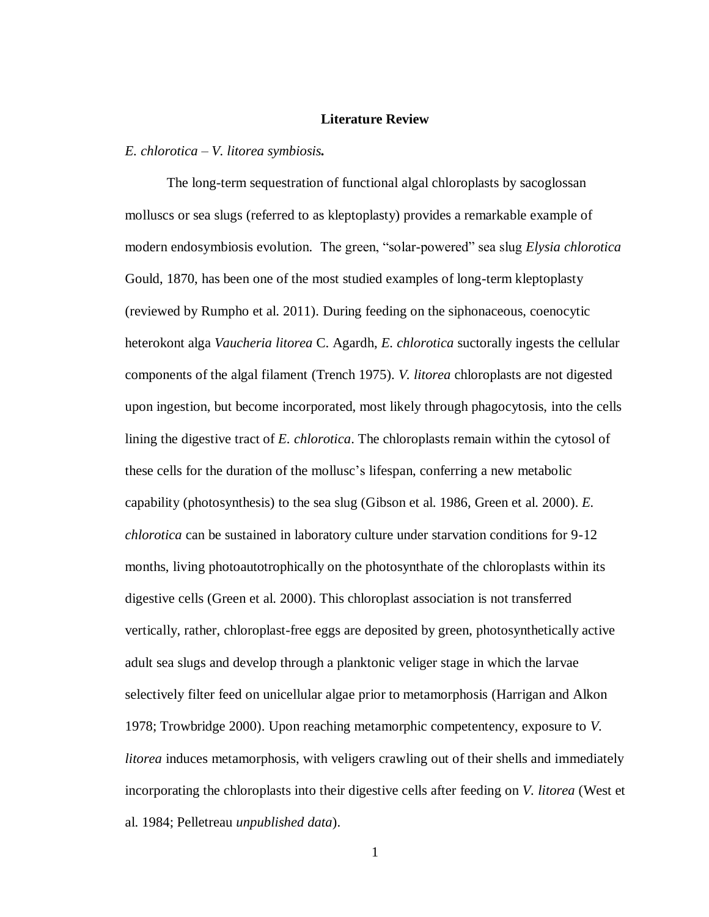#### **Literature Review**

<span id="page-7-1"></span><span id="page-7-0"></span>*E. chlorotica – V. litorea symbiosis.*

The long-term sequestration of functional algal chloroplasts by sacoglossan molluscs or sea slugs (referred to as kleptoplasty) provides a remarkable example of modern endosymbiosis evolution. The green, "solar-powered" sea slug *Elysia chlorotica* Gould, 1870, has been one of the most studied examples of long-term kleptoplasty (reviewed by Rumpho et al. 2011). During feeding on the siphonaceous, coenocytic heterokont alga *Vaucheria litorea* C. Agardh, *E. chlorotica* suctorally ingests the cellular components of the algal filament (Trench 1975). *V. litorea* chloroplasts are not digested upon ingestion, but become incorporated, most likely through phagocytosis, into the cells lining the digestive tract of *E. chlorotica*. The chloroplasts remain within the cytosol of these cells for the duration of the mollusc's lifespan, conferring a new metabolic capability (photosynthesis) to the sea slug (Gibson et al. 1986, Green et al. 2000). *E. chlorotica* can be sustained in laboratory culture under starvation conditions for 9-12 months, living photoautotrophically on the photosynthate of the chloroplasts within its digestive cells (Green et al. 2000). This chloroplast association is not transferred vertically, rather, chloroplast-free eggs are deposited by green, photosynthetically active adult sea slugs and develop through a planktonic veliger stage in which the larvae selectively filter feed on unicellular algae prior to metamorphosis (Harrigan and Alkon 1978; Trowbridge 2000). Upon reaching metamorphic competentency, exposure to *V. litorea* induces metamorphosis, with veligers crawling out of their shells and immediately incorporating the chloroplasts into their digestive cells after feeding on *V. litorea* (West et al. 1984; Pelletreau *unpublished data*).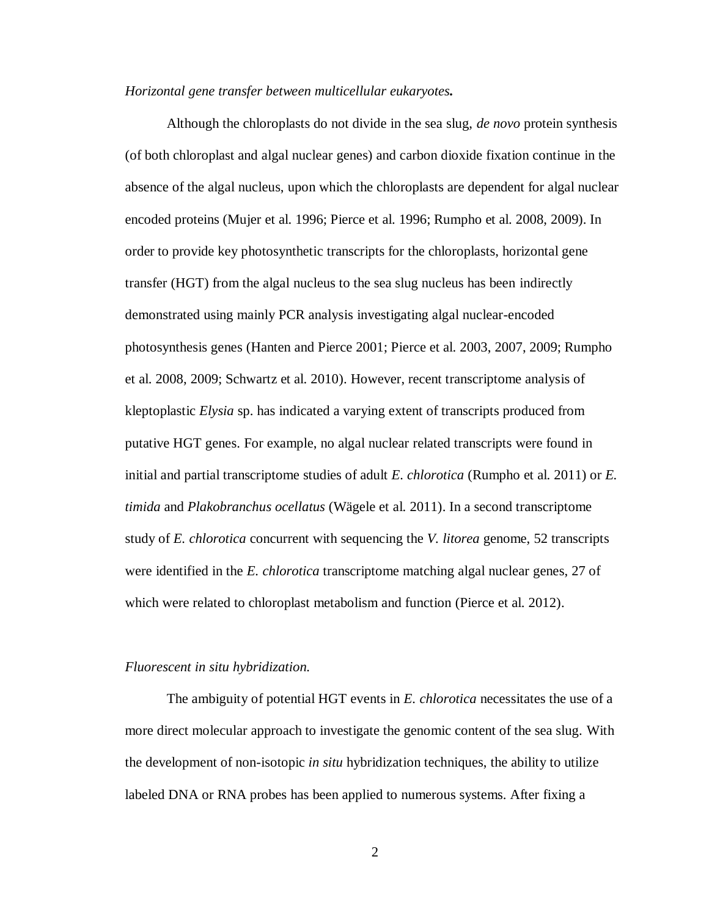## <span id="page-8-0"></span>*Horizontal gene transfer between multicellular eukaryotes.*

Although the chloroplasts do not divide in the sea slug, *de novo* protein synthesis (of both chloroplast and algal nuclear genes) and carbon dioxide fixation continue in the absence of the algal nucleus, upon which the chloroplasts are dependent for algal nuclear encoded proteins (Mujer et al. 1996; Pierce et al. 1996; Rumpho et al. 2008, 2009). In order to provide key photosynthetic transcripts for the chloroplasts, horizontal gene transfer (HGT) from the algal nucleus to the sea slug nucleus has been indirectly demonstrated using mainly PCR analysis investigating algal nuclear-encoded photosynthesis genes (Hanten and Pierce 2001; Pierce et al. 2003, 2007, 2009; Rumpho et al. 2008, 2009; Schwartz et al. 2010). However, recent transcriptome analysis of kleptoplastic *Elysia* sp. has indicated a varying extent of transcripts produced from putative HGT genes. For example, no algal nuclear related transcripts were found in initial and partial transcriptome studies of adult *E. chlorotica* (Rumpho et al. 2011) or *E. timida* and *Plakobranchus ocellatus* (Wägele et al. 2011). In a second transcriptome study of *E. chlorotica* concurrent with sequencing the *V. litorea* genome, 52 transcripts were identified in the *E. chlorotica* transcriptome matching algal nuclear genes, 27 of which were related to chloroplast metabolism and function (Pierce et al. 2012).

#### <span id="page-8-1"></span>*Fluorescent in situ hybridization.*

The ambiguity of potential HGT events in *E. chlorotica* necessitates the use of a more direct molecular approach to investigate the genomic content of the sea slug. With the development of non-isotopic *in situ* hybridization techniques, the ability to utilize labeled DNA or RNA probes has been applied to numerous systems. After fixing a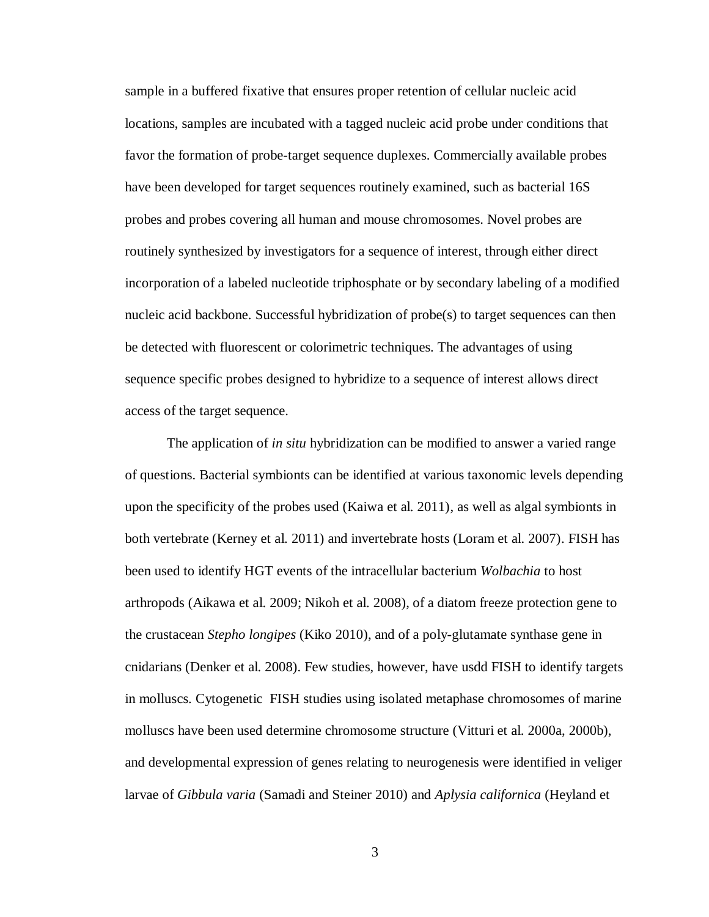sample in a buffered fixative that ensures proper retention of cellular nucleic acid locations, samples are incubated with a tagged nucleic acid probe under conditions that favor the formation of probe-target sequence duplexes. Commercially available probes have been developed for target sequences routinely examined, such as bacterial 16S probes and probes covering all human and mouse chromosomes. Novel probes are routinely synthesized by investigators for a sequence of interest, through either direct incorporation of a labeled nucleotide triphosphate or by secondary labeling of a modified nucleic acid backbone. Successful hybridization of probe(s) to target sequences can then be detected with fluorescent or colorimetric techniques. The advantages of using sequence specific probes designed to hybridize to a sequence of interest allows direct access of the target sequence.

The application of *in situ* hybridization can be modified to answer a varied range of questions. Bacterial symbionts can be identified at various taxonomic levels depending upon the specificity of the probes used (Kaiwa et al. 2011), as well as algal symbionts in both vertebrate (Kerney et al. 2011) and invertebrate hosts (Loram et al. 2007). FISH has been used to identify HGT events of the intracellular bacterium *Wolbachia* to host arthropods (Aikawa et al. 2009; Nikoh et al. 2008), of a diatom freeze protection gene to the crustacean *Stepho longipes* (Kiko 2010), and of a poly-glutamate synthase gene in cnidarians (Denker et al. 2008). Few studies, however, have usdd FISH to identify targets in molluscs. Cytogenetic FISH studies using isolated metaphase chromosomes of marine molluscs have been used determine chromosome structure (Vitturi et al. 2000a, 2000b), and developmental expression of genes relating to neurogenesis were identified in veliger larvae of *Gibbula varia* (Samadi and Steiner 2010) and *Aplysia californica* (Heyland et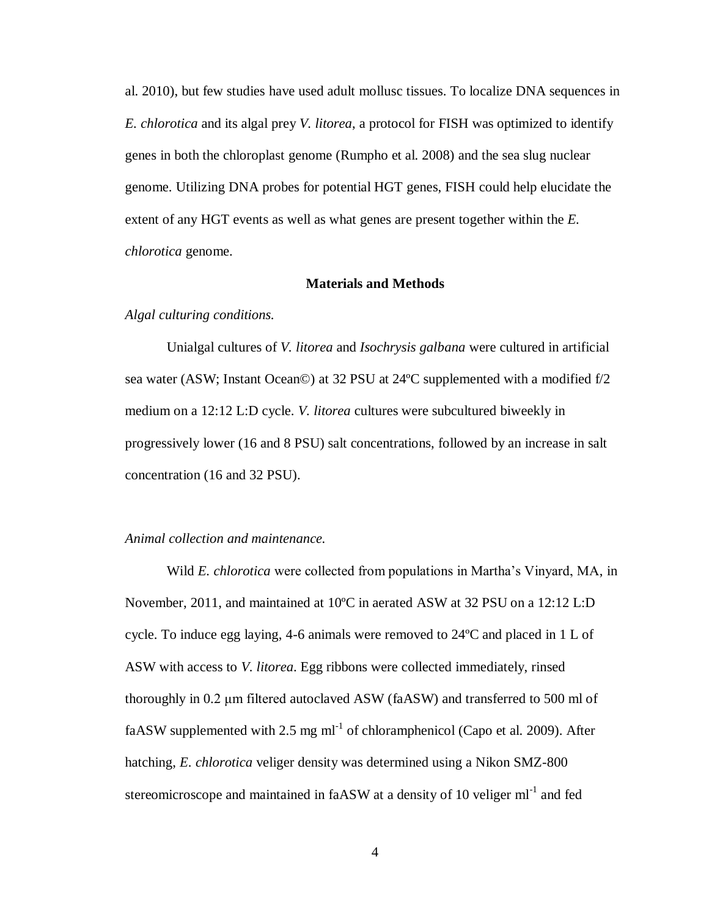al. 2010), but few studies have used adult mollusc tissues. To localize DNA sequences in *E. chlorotica* and its algal prey *V. litorea*, a protocol for FISH was optimized to identify genes in both the chloroplast genome (Rumpho et al. 2008) and the sea slug nuclear genome. Utilizing DNA probes for potential HGT genes, FISH could help elucidate the extent of any HGT events as well as what genes are present together within the *E. chlorotica* genome.

# **Materials and Methods**

# <span id="page-10-0"></span>*Algal culturing conditions.*

Unialgal cultures of *V. litorea* and *Isochrysis galbana* were cultured in artificial sea water (ASW; Instant Ocean©) at 32 PSU at 24ºC supplemented with a modified f/2 medium on a 12:12 L:D cycle. *V. litorea* cultures were subcultured biweekly in progressively lower (16 and 8 PSU) salt concentrations, followed by an increase in salt concentration (16 and 32 PSU).

# *Animal collection and maintenance.*

Wild *E. chlorotica* were collected from populations in Martha's Vinyard, MA, in November, 2011, and maintained at 10ºC in aerated ASW at 32 PSU on a 12:12 L:D cycle. To induce egg laying, 4-6 animals were removed to 24ºC and placed in 1 L of ASW with access to *V. litorea*. Egg ribbons were collected immediately, rinsed thoroughly in 0.2 μm filtered autoclaved ASW (faASW) and transferred to 500 ml of faASW supplemented with 2.5 mg  $ml^{-1}$  of chloramphenicol (Capo et al. 2009). After hatching, *E. chlorotica* veliger density was determined using a Nikon SMZ-800 stereomicroscope and maintained in faASW at a density of 10 veliger  $ml^{-1}$  and fed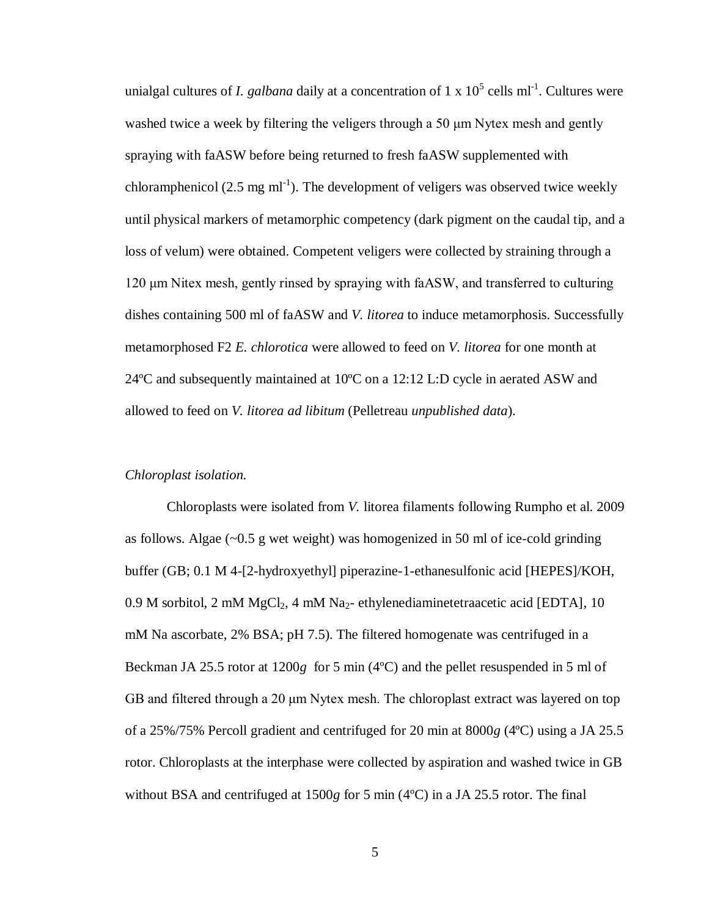unialgal cultures of *I. galbana* daily at a concentration of 1 x  $10^5$  cells ml<sup>-1</sup>. Cultures were washed twice a week by filtering the veligers through a 50 μm Nytex mesh and gently spraying with faASW before being returned to fresh faASW supplemented with chloramphenicol (2.5 mg ml<sup>-1</sup>). The development of veligers was observed twice weekly until physical markers of metamorphic competency (dark pigment on the caudal tip, and a loss of velum) were obtained. Competent veligers were collected by straining through a 120 μm Nitex mesh, gently rinsed by spraying with faASW, and transferred to culturing dishes containing 500 ml of faASW and *V. litorea* to induce metamorphosis. Successfully metamorphosed F2 *E. chlorotica* were allowed to feed on *V. litorea* for one month at 24ºC and subsequently maintained at 10ºC on a 12:12 L:D cycle in aerated ASW and allowed to feed on *V. litorea ad libitum* (Pelletreau *unpublished data*).

# *Chloroplast isolation.*

Chloroplasts were isolated from *V.* litorea filaments following Rumpho et al. 2009 as follows. Algae (~0.5 g wet weight) was homogenized in 50 ml of ice-cold grinding buffer (GB; 0.1 M 4-[2-hydroxyethyl] piperazine-1-ethanesulfonic acid [HEPES]/KOH, 0.9 M sorbitol, 2 mM MgCl<sub>2</sub>, 4 mM Na<sub>2</sub>- ethylenediaminetetraacetic acid [EDTA], 10 mM Na ascorbate, 2% BSA; pH 7.5). The filtered homogenate was centrifuged in a Beckman JA 25.5 rotor at 1200*g* for 5 min (4ºC) and the pellet resuspended in 5 ml of GB and filtered through a 20 μm Nytex mesh. The chloroplast extract was layered on top of a 25%/75% Percoll gradient and centrifuged for 20 min at 8000*g* (4ºC) using a JA 25.5 rotor. Chloroplasts at the interphase were collected by aspiration and washed twice in GB without BSA and centrifuged at 1500*g* for 5 min (4ºC) in a JA 25.5 rotor. The final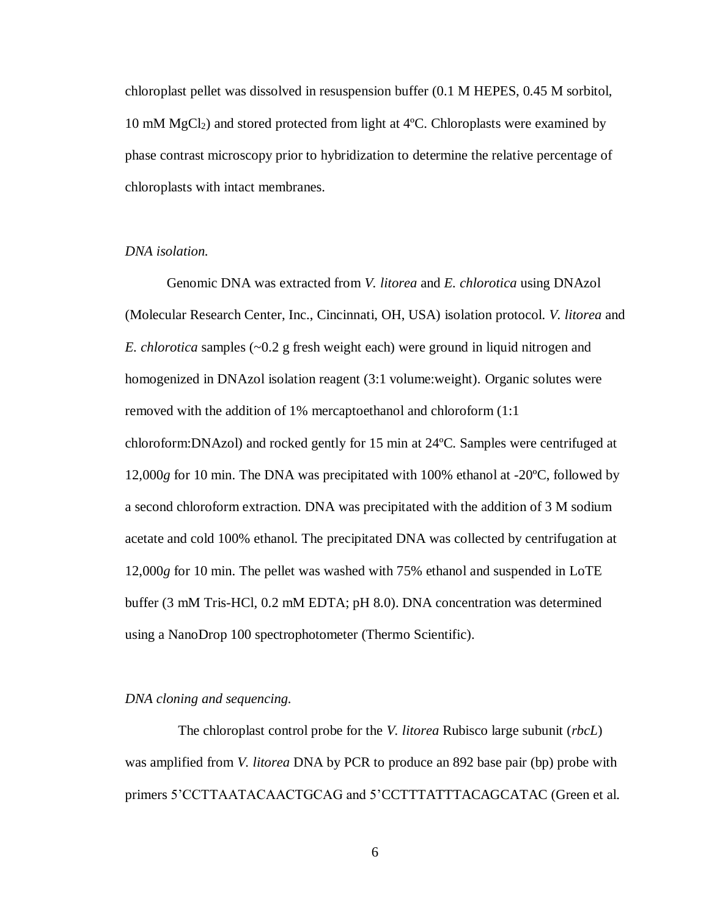chloroplast pellet was dissolved in resuspension buffer (0.1 M HEPES, 0.45 M sorbitol, 10 mM  $MgCl<sub>2</sub>$ ) and stored protected from light at 4°C. Chloroplasts were examined by phase contrast microscopy prior to hybridization to determine the relative percentage of chloroplasts with intact membranes.

# *DNA isolation.*

Genomic DNA was extracted from *V. litorea* and *E. chlorotica* using DNAzol (Molecular Research Center, Inc., Cincinnati, OH, USA) isolation protocol. *V. litorea* and *E. chlorotica* samples (~0.2 g fresh weight each) were ground in liquid nitrogen and homogenized in DNAzol isolation reagent (3:1 volume:weight). Organic solutes were removed with the addition of 1% mercaptoethanol and chloroform (1:1 chloroform:DNAzol) and rocked gently for 15 min at 24ºC. Samples were centrifuged at 12,000*g* for 10 min. The DNA was precipitated with 100% ethanol at -20ºC, followed by a second chloroform extraction. DNA was precipitated with the addition of 3 M sodium acetate and cold 100% ethanol. The precipitated DNA was collected by centrifugation at 12,000*g* for 10 min. The pellet was washed with 75% ethanol and suspended in LoTE buffer (3 mM Tris-HCl, 0.2 mM EDTA; pH 8.0). DNA concentration was determined using a NanoDrop 100 spectrophotometer (Thermo Scientific).

# *DNA cloning and sequencing.*

The chloroplast control probe for the *V. litorea* Rubisco large subunit (*rbcL*) was amplified from *V. litorea* DNA by PCR to produce an 892 base pair (bp) probe with primers 5'CCTTAATACAACTGCAG and 5'CCTTTATTTACAGCATAC (Green et al.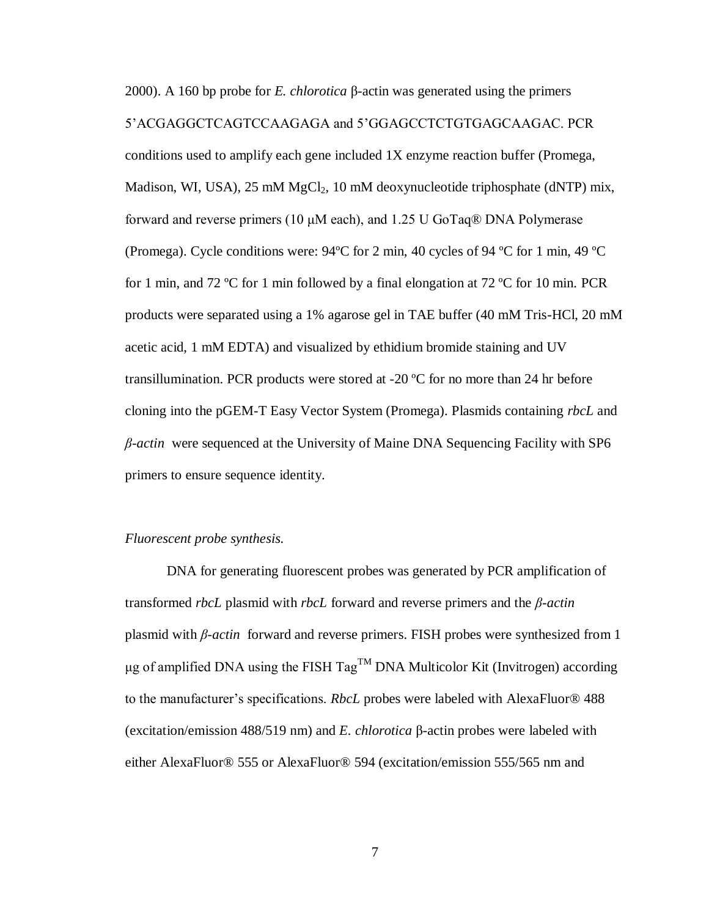2000). A 160 bp probe for *E. chlorotica* β-actin was generated using the primers 5'ACGAGGCTCAGTCCAAGAGA and 5'GGAGCCTCTGTGAGCAAGAC. PCR conditions used to amplify each gene included 1X enzyme reaction buffer (Promega, Madison, WI, USA), 25 mM  $MgCl<sub>2</sub>$ , 10 mM deoxynucleotide triphosphate (dNTP) mix, forward and reverse primers (10  $\mu$ M each), and 1.25 U GoTaq® DNA Polymerase (Promega). Cycle conditions were: 94ºC for 2 min, 40 cycles of 94 ºC for 1 min, 49 ºC for 1 min, and 72 ºC for 1 min followed by a final elongation at 72 ºC for 10 min. PCR products were separated using a 1% agarose gel in TAE buffer (40 mM Tris-HCl, 20 mM acetic acid, 1 mM EDTA) and visualized by ethidium bromide staining and UV transillumination. PCR products were stored at  $-20\degree$ C for no more than 24 hr before cloning into the pGEM-T Easy Vector System (Promega). Plasmids containing *rbcL* and *β-actin* were sequenced at the University of Maine DNA Sequencing Facility with SP6 primers to ensure sequence identity.

#### *Fluorescent probe synthesis.*

DNA for generating fluorescent probes was generated by PCR amplification of transformed *rbcL* plasmid with *rbcL* forward and reverse primers and the *β-actin*  plasmid with *β-actin* forward and reverse primers. FISH probes were synthesized from 1 μg of amplified DNA using the FISH TagTM DNA Multicolor Kit (Invitrogen) according to the manufacturer's specifications. *RbcL* probes were labeled with AlexaFluor® 488 (excitation/emission 488/519 nm) and *E. chlorotica* β-actin probes were labeled with either AlexaFluor® 555 or AlexaFluor® 594 (excitation/emission 555/565 nm and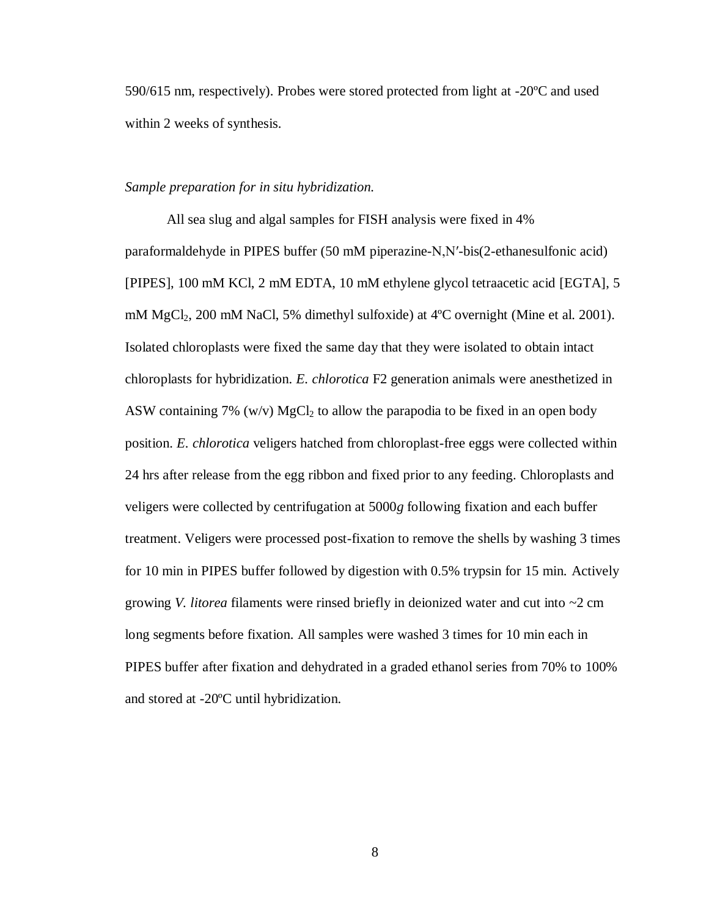590/615 nm, respectively). Probes were stored protected from light at -20ºC and used within 2 weeks of synthesis.

# *Sample preparation for in situ hybridization.*

All sea slug and algal samples for FISH analysis were fixed in 4% paraformaldehyde in PIPES buffer (50 mM piperazine-N,N′-bis(2-ethanesulfonic acid) [PIPES], 100 mM KCl, 2 mM EDTA, 10 mM ethylene glycol tetraacetic acid [EGTA], 5 mM MgCl<sub>2</sub>, 200 mM NaCl, 5% dimethyl sulfoxide) at 4<sup>o</sup>C overnight (Mine et al. 2001). Isolated chloroplasts were fixed the same day that they were isolated to obtain intact chloroplasts for hybridization. *E. chlorotica* F2 generation animals were anesthetized in ASW containing 7% (w/v) MgCl<sub>2</sub> to allow the parapodia to be fixed in an open body position. *E. chlorotica* veligers hatched from chloroplast-free eggs were collected within 24 hrs after release from the egg ribbon and fixed prior to any feeding. Chloroplasts and veligers were collected by centrifugation at 5000*g* following fixation and each buffer treatment. Veligers were processed post-fixation to remove the shells by washing 3 times for 10 min in PIPES buffer followed by digestion with 0.5% trypsin for 15 min. Actively growing *V. litorea* filaments were rinsed briefly in deionized water and cut into ~2 cm long segments before fixation. All samples were washed 3 times for 10 min each in PIPES buffer after fixation and dehydrated in a graded ethanol series from 70% to 100% and stored at -20ºC until hybridization.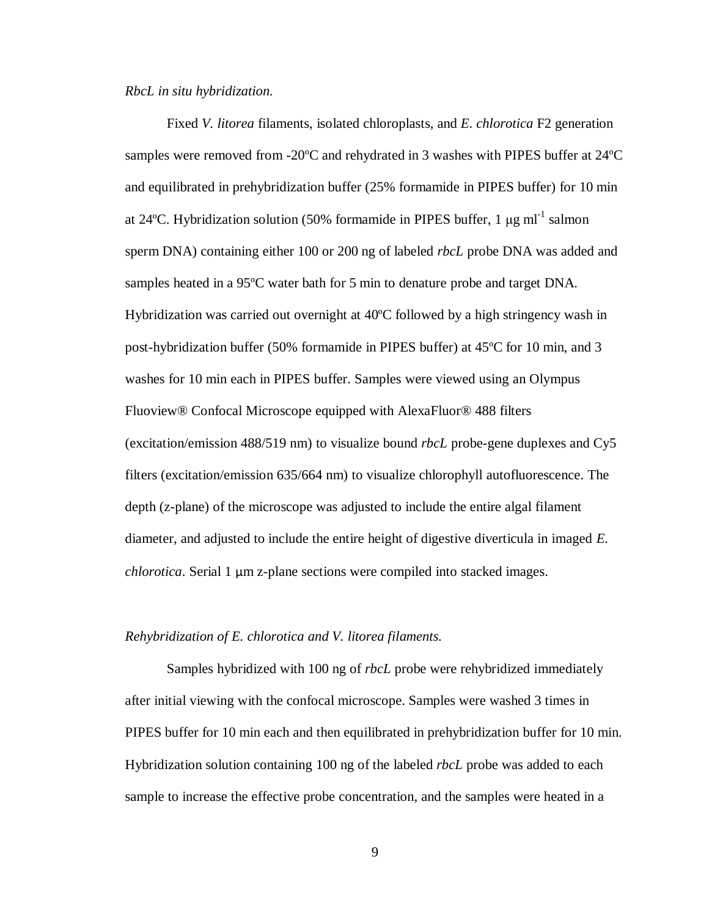## *RbcL in situ hybridization.*

Fixed *V. litorea* filaments, isolated chloroplasts, and *E. chlorotica* F2 generation samples were removed from -20ºC and rehydrated in 3 washes with PIPES buffer at 24ºC and equilibrated in prehybridization buffer (25% formamide in PIPES buffer) for 10 min at 24°C. Hybridization solution (50% formamide in PIPES buffer, 1  $\mu$ g ml<sup>-1</sup> salmon sperm DNA) containing either 100 or 200 ng of labeled *rbcL* probe DNA was added and samples heated in a 95ºC water bath for 5 min to denature probe and target DNA. Hybridization was carried out overnight at 40ºC followed by a high stringency wash in post-hybridization buffer (50% formamide in PIPES buffer) at 45ºC for 10 min, and 3 washes for 10 min each in PIPES buffer. Samples were viewed using an Olympus Fluoview® Confocal Microscope equipped with AlexaFluor® 488 filters (excitation/emission 488/519 nm) to visualize bound *rbcL* probe-gene duplexes and Cy5 filters (excitation/emission 635/664 nm) to visualize chlorophyll autofluorescence. The depth (z-plane) of the microscope was adjusted to include the entire algal filament diameter, and adjusted to include the entire height of digestive diverticula in imaged *E. chlorotica*. Serial 1 μm z-plane sections were compiled into stacked images.

# *Rehybridization of E. chlorotica and V. litorea filaments.*

Samples hybridized with 100 ng of *rbcL* probe were rehybridized immediately after initial viewing with the confocal microscope. Samples were washed 3 times in PIPES buffer for 10 min each and then equilibrated in prehybridization buffer for 10 min. Hybridization solution containing 100 ng of the labeled *rbcL* probe was added to each sample to increase the effective probe concentration, and the samples were heated in a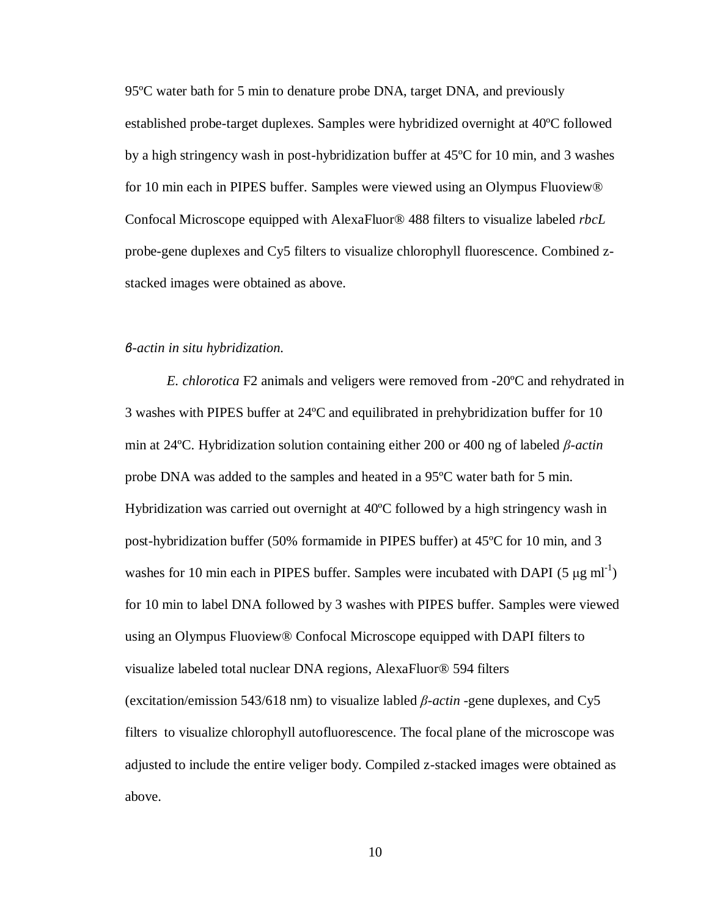95ºC water bath for 5 min to denature probe DNA, target DNA, and previously established probe-target duplexes. Samples were hybridized overnight at 40ºC followed by a high stringency wash in post-hybridization buffer at 45ºC for 10 min, and 3 washes for 10 min each in PIPES buffer. Samples were viewed using an Olympus Fluoview® Confocal Microscope equipped with AlexaFluor® 488 filters to visualize labeled *rbcL*  probe-gene duplexes and Cy5 filters to visualize chlorophyll fluorescence. Combined zstacked images were obtained as above.

### *β-actin in situ hybridization.*

*E. chlorotica* F2 animals and veligers were removed from -20ºC and rehydrated in 3 washes with PIPES buffer at 24ºC and equilibrated in prehybridization buffer for 10 min at 24ºC. Hybridization solution containing either 200 or 400 ng of labeled *β-actin*  probe DNA was added to the samples and heated in a 95ºC water bath for 5 min. Hybridization was carried out overnight at 40ºC followed by a high stringency wash in post-hybridization buffer (50% formamide in PIPES buffer) at 45ºC for 10 min, and 3 washes for 10 min each in PIPES buffer. Samples were incubated with DAPI (5  $\mu$ g ml<sup>-1</sup>) for 10 min to label DNA followed by 3 washes with PIPES buffer. Samples were viewed using an Olympus Fluoview® Confocal Microscope equipped with DAPI filters to visualize labeled total nuclear DNA regions, AlexaFluor® 594 filters (excitation/emission 543/618 nm) to visualize labled *β-actin* -gene duplexes, and Cy5 filters to visualize chlorophyll autofluorescence. The focal plane of the microscope was adjusted to include the entire veliger body. Compiled z-stacked images were obtained as above.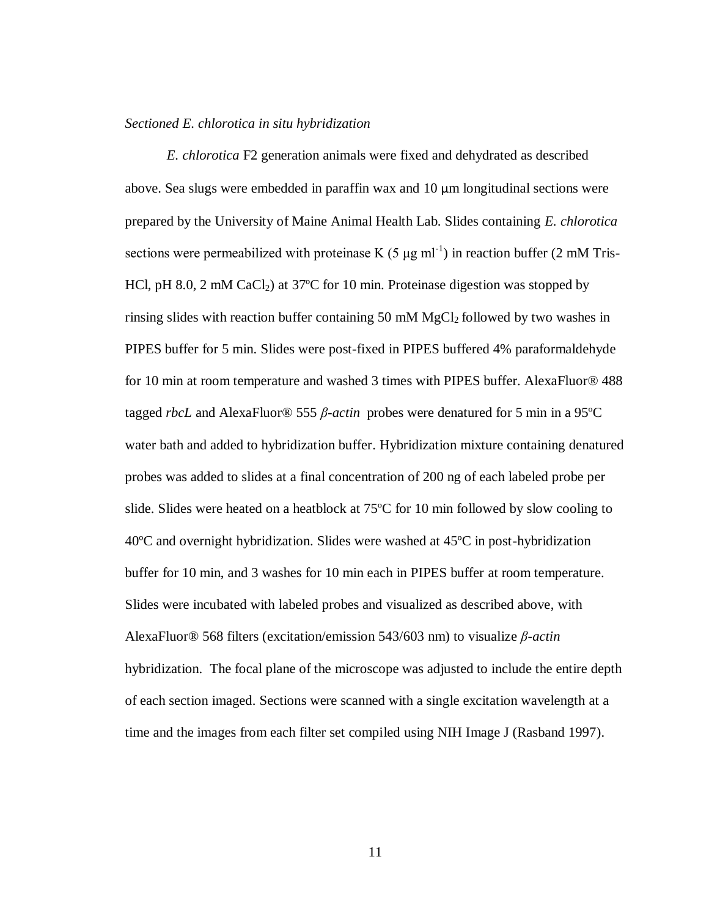#### *Sectioned E. chlorotica in situ hybridization*

<span id="page-17-0"></span>*E. chlorotica* F2 generation animals were fixed and dehydrated as described above. Sea slugs were embedded in paraffin wax and 10 μm longitudinal sections were prepared by the University of Maine Animal Health Lab. Slides containing *E. chlorotica*  sections were permeabilized with proteinase K (5  $\mu$ g ml<sup>-1</sup>) in reaction buffer (2 mM Tris-HCl, pH 8.0, 2 mM CaCl<sub>2</sub>) at 37<sup>o</sup>C for 10 min. Proteinase digestion was stopped by rinsing slides with reaction buffer containing 50 mM MgCl2 followed by two washes in PIPES buffer for 5 min. Slides were post-fixed in PIPES buffered 4% paraformaldehyde for 10 min at room temperature and washed 3 times with PIPES buffer. AlexaFluor® 488 tagged *rbcL* and AlexaFluor® 555 *β-actin* probes were denatured for 5 min in a 95ºC water bath and added to hybridization buffer. Hybridization mixture containing denatured probes was added to slides at a final concentration of 200 ng of each labeled probe per slide. Slides were heated on a heatblock at 75ºC for 10 min followed by slow cooling to 40ºC and overnight hybridization. Slides were washed at 45ºC in post-hybridization buffer for 10 min, and 3 washes for 10 min each in PIPES buffer at room temperature. Slides were incubated with labeled probes and visualized as described above, with AlexaFluor® 568 filters (excitation/emission 543/603 nm) to visualize *β-actin*  hybridization. The focal plane of the microscope was adjusted to include the entire depth of each section imaged. Sections were scanned with a single excitation wavelength at a time and the images from each filter set compiled using NIH Image J (Rasband 1997).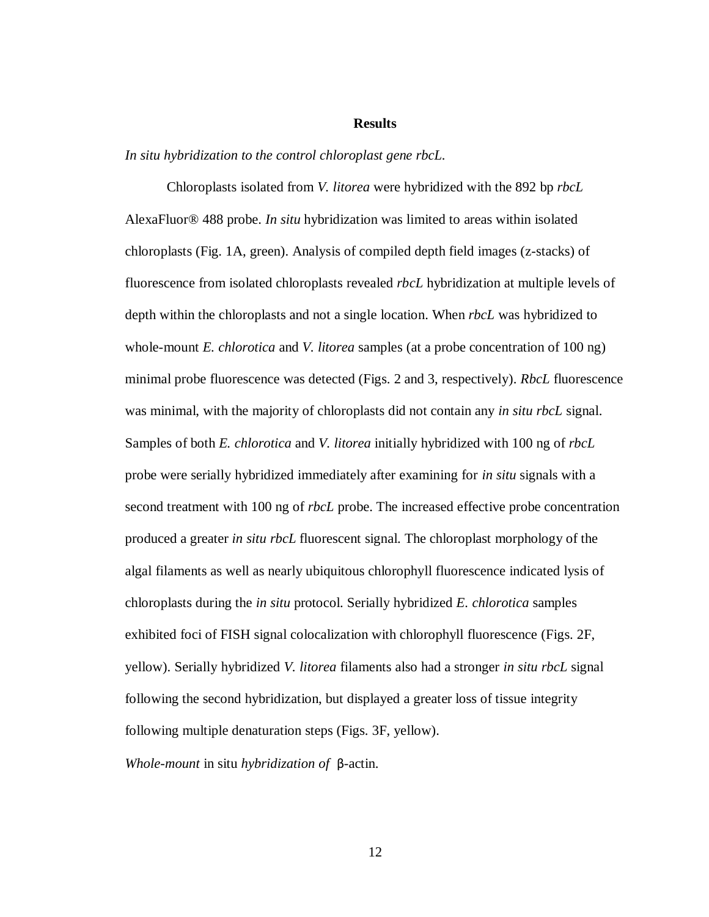# **Results**

#### *In situ hybridization to the control chloroplast gene rbcL.*

Chloroplasts isolated from *V. litorea* were hybridized with the 892 bp *rbcL* AlexaFluor® 488 probe. *In situ* hybridization was limited to areas within isolated chloroplasts (Fig. 1A, green). Analysis of compiled depth field images (z-stacks) of fluorescence from isolated chloroplasts revealed *rbcL* hybridization at multiple levels of depth within the chloroplasts and not a single location. When *rbcL* was hybridized to whole-mount *E. chlorotica* and *V. litorea* samples (at a probe concentration of 100 ng) minimal probe fluorescence was detected (Figs. 2 and 3, respectively). *RbcL* fluorescence was minimal, with the majority of chloroplasts did not contain any *in situ rbcL* signal. Samples of both *E. chlorotica* and *V. litorea* initially hybridized with 100 ng of *rbcL*  probe were serially hybridized immediately after examining for *in situ* signals with a second treatment with 100 ng of *rbcL* probe. The increased effective probe concentration produced a greater *in situ rbcL* fluorescent signal. The chloroplast morphology of the algal filaments as well as nearly ubiquitous chlorophyll fluorescence indicated lysis of chloroplasts during the *in situ* protocol. Serially hybridized *E. chlorotica* samples exhibited foci of FISH signal colocalization with chlorophyll fluorescence (Figs. 2F, yellow). Serially hybridized *V. litorea* filaments also had a stronger *in situ rbcL* signal following the second hybridization, but displayed a greater loss of tissue integrity following multiple denaturation steps (Figs. 3F, yellow). *Whole-mount* in situ *hybridization of* β-actin.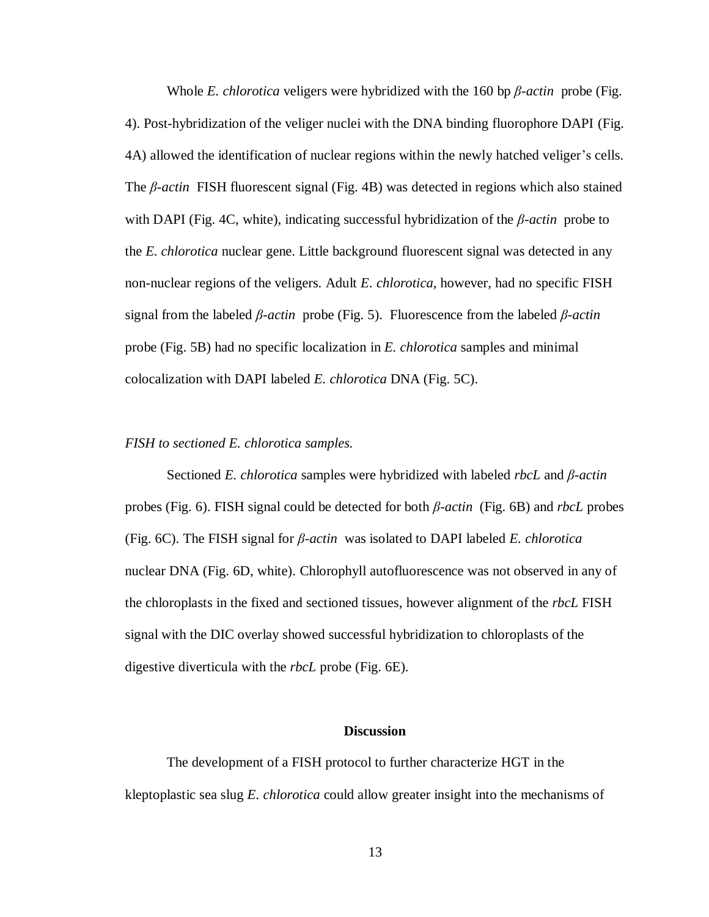Whole *E. chlorotica* veligers were hybridized with the 160 bp *β-actin* probe (Fig. 4). Post-hybridization of the veliger nuclei with the DNA binding fluorophore DAPI (Fig. 4A) allowed the identification of nuclear regions within the newly hatched veliger's cells. The *β-actin* FISH fluorescent signal (Fig. 4B) was detected in regions which also stained with DAPI (Fig. 4C, white), indicating successful hybridization of the *β-actin* probe to the *E. chlorotica* nuclear gene. Little background fluorescent signal was detected in any non-nuclear regions of the veligers. Adult *E. chlorotica*, however, had no specific FISH signal from the labeled *β-actin* probe (Fig. 5). Fluorescence from the labeled *β-actin*  probe (Fig. 5B) had no specific localization in *E. chlorotica* samples and minimal colocalization with DAPI labeled *E. chlorotica* DNA (Fig. 5C).

## *FISH to sectioned E. chlorotica samples.*

Sectioned *E. chlorotica* samples were hybridized with labeled *rbcL* and *β-actin*  probes (Fig. 6). FISH signal could be detected for both *β-actin* (Fig. 6B) and *rbcL* probes (Fig. 6C). The FISH signal for *β-actin* was isolated to DAPI labeled *E. chlorotica*  nuclear DNA (Fig. 6D, white). Chlorophyll autofluorescence was not observed in any of the chloroplasts in the fixed and sectioned tissues, however alignment of the *rbcL* FISH signal with the DIC overlay showed successful hybridization to chloroplasts of the digestive diverticula with the *rbcL* probe (Fig. 6E).

#### **Discussion**

<span id="page-19-0"></span>The development of a FISH protocol to further characterize HGT in the kleptoplastic sea slug *E. chlorotica* could allow greater insight into the mechanisms of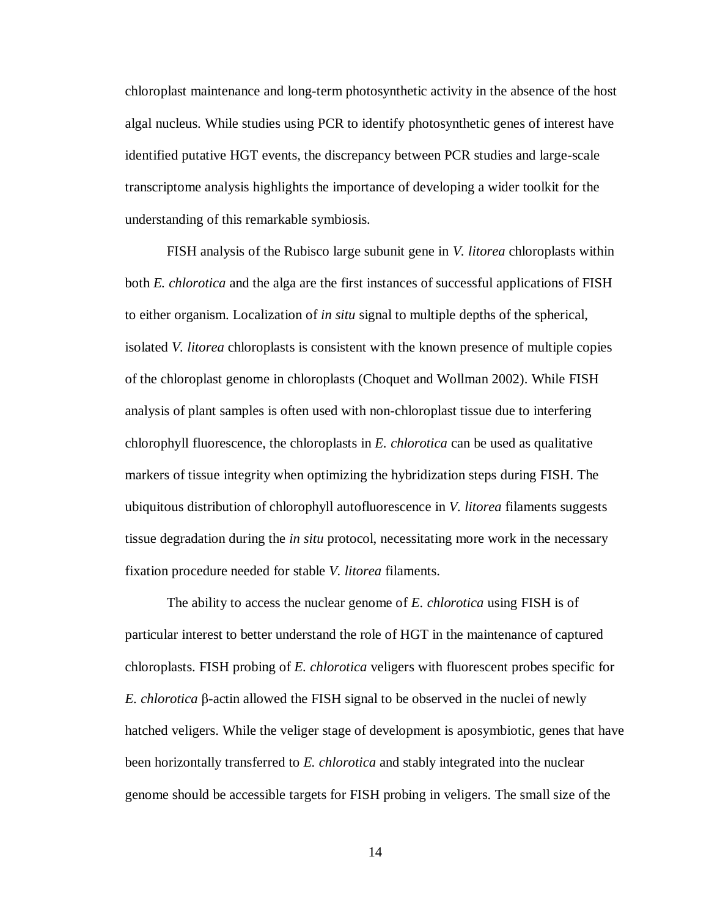chloroplast maintenance and long-term photosynthetic activity in the absence of the host algal nucleus. While studies using PCR to identify photosynthetic genes of interest have identified putative HGT events, the discrepancy between PCR studies and large-scale transcriptome analysis highlights the importance of developing a wider toolkit for the understanding of this remarkable symbiosis.

FISH analysis of the Rubisco large subunit gene in *V. litorea* chloroplasts within both *E. chlorotica* and the alga are the first instances of successful applications of FISH to either organism. Localization of *in situ* signal to multiple depths of the spherical, isolated *V. litorea* chloroplasts is consistent with the known presence of multiple copies of the chloroplast genome in chloroplasts (Choquet and Wollman 2002). While FISH analysis of plant samples is often used with non-chloroplast tissue due to interfering chlorophyll fluorescence, the chloroplasts in *E. chlorotica* can be used as qualitative markers of tissue integrity when optimizing the hybridization steps during FISH. The ubiquitous distribution of chlorophyll autofluorescence in *V. litorea* filaments suggests tissue degradation during the *in situ* protocol, necessitating more work in the necessary fixation procedure needed for stable *V. litorea* filaments.

The ability to access the nuclear genome of *E. chlorotica* using FISH is of particular interest to better understand the role of HGT in the maintenance of captured chloroplasts. FISH probing of *E. chlorotica* veligers with fluorescent probes specific for *E. chlorotica* β-actin allowed the FISH signal to be observed in the nuclei of newly hatched veligers. While the veliger stage of development is aposymbiotic, genes that have been horizontally transferred to *E. chlorotica* and stably integrated into the nuclear genome should be accessible targets for FISH probing in veligers. The small size of the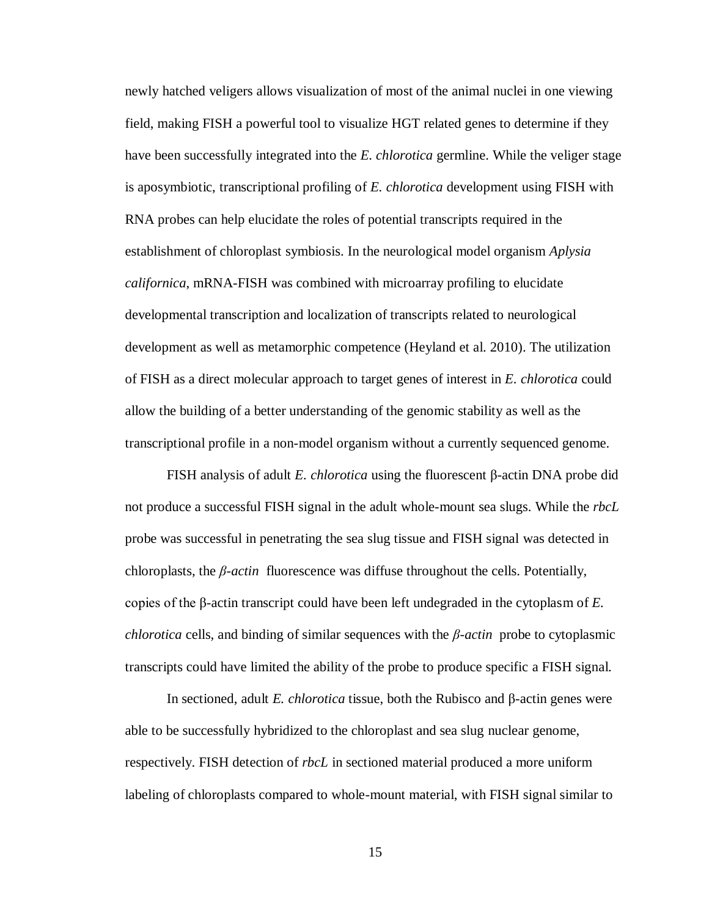newly hatched veligers allows visualization of most of the animal nuclei in one viewing field, making FISH a powerful tool to visualize HGT related genes to determine if they have been successfully integrated into the *E. chlorotica* germline. While the veliger stage is aposymbiotic, transcriptional profiling of *E. chlorotica* development using FISH with RNA probes can help elucidate the roles of potential transcripts required in the establishment of chloroplast symbiosis. In the neurological model organism *Aplysia californica*, mRNA-FISH was combined with microarray profiling to elucidate developmental transcription and localization of transcripts related to neurological development as well as metamorphic competence (Heyland et al. 2010). The utilization of FISH as a direct molecular approach to target genes of interest in *E. chlorotica* could allow the building of a better understanding of the genomic stability as well as the transcriptional profile in a non-model organism without a currently sequenced genome.

FISH analysis of adult *E. chlorotica* using the fluorescent β-actin DNA probe did not produce a successful FISH signal in the adult whole-mount sea slugs. While the *rbcL* probe was successful in penetrating the sea slug tissue and FISH signal was detected in chloroplasts, the *β-actin* fluorescence was diffuse throughout the cells. Potentially, copies of the β-actin transcript could have been left undegraded in the cytoplasm of *E. chlorotica* cells, and binding of similar sequences with the *β-actin* probe to cytoplasmic transcripts could have limited the ability of the probe to produce specific a FISH signal.

In sectioned, adult *E. chlorotica* tissue, both the Rubisco and β-actin genes were able to be successfully hybridized to the chloroplast and sea slug nuclear genome, respectively. FISH detection of *rbcL* in sectioned material produced a more uniform labeling of chloroplasts compared to whole-mount material, with FISH signal similar to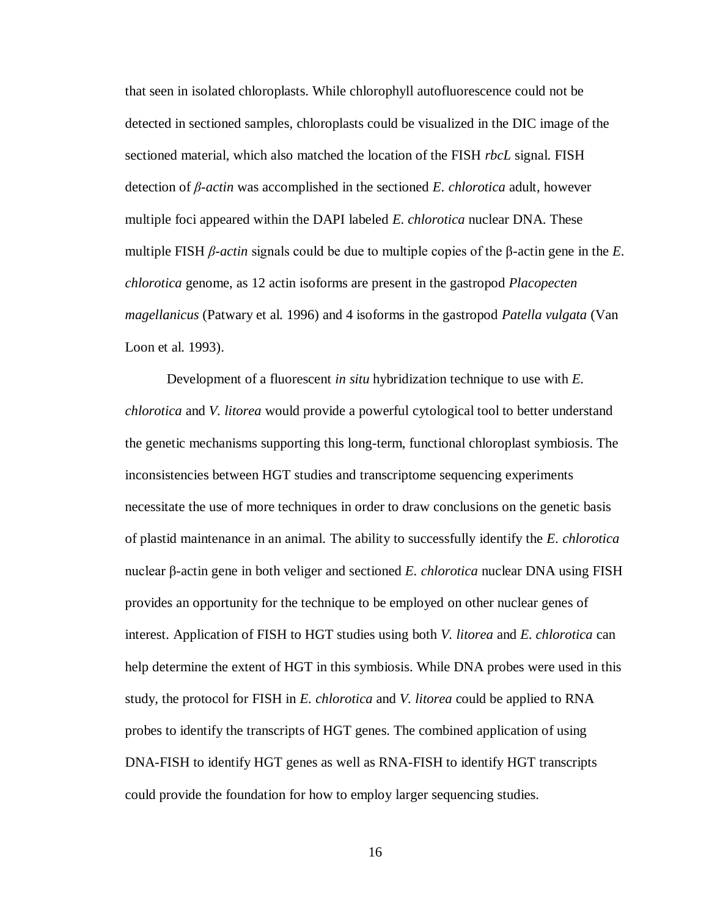that seen in isolated chloroplasts. While chlorophyll autofluorescence could not be detected in sectioned samples, chloroplasts could be visualized in the DIC image of the sectioned material, which also matched the location of the FISH *rbcL* signal. FISH detection of *β-actin* was accomplished in the sectioned *E. chlorotica* adult, however multiple foci appeared within the DAPI labeled *E. chlorotica* nuclear DNA. These multiple FISH *β-actin* signals could be due to multiple copies of the β-actin gene in the *E. chlorotica* genome, as 12 actin isoforms are present in the gastropod *Placopecten magellanicus* (Patwary et al. 1996) and 4 isoforms in the gastropod *Patella vulgata* (Van Loon et al. 1993).

Development of a fluorescent *in situ* hybridization technique to use with *E. chlorotica* and *V. litorea* would provide a powerful cytological tool to better understand the genetic mechanisms supporting this long-term, functional chloroplast symbiosis. The inconsistencies between HGT studies and transcriptome sequencing experiments necessitate the use of more techniques in order to draw conclusions on the genetic basis of plastid maintenance in an animal. The ability to successfully identify the *E. chlorotica* nuclear β-actin gene in both veliger and sectioned *E. chlorotica* nuclear DNA using FISH provides an opportunity for the technique to be employed on other nuclear genes of interest. Application of FISH to HGT studies using both *V. litorea* and *E. chlorotica* can help determine the extent of HGT in this symbiosis. While DNA probes were used in this study, the protocol for FISH in *E. chlorotica* and *V. litorea* could be applied to RNA probes to identify the transcripts of HGT genes. The combined application of using DNA-FISH to identify HGT genes as well as RNA-FISH to identify HGT transcripts could provide the foundation for how to employ larger sequencing studies.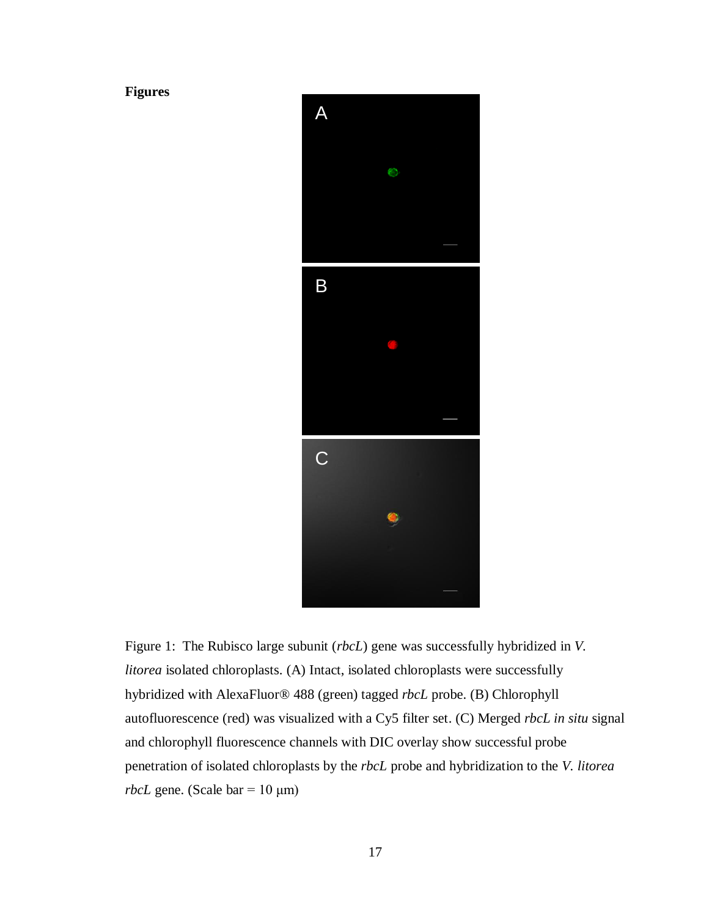# <span id="page-23-0"></span>**Figures**



<span id="page-23-1"></span>Figure 1: The Rubisco large subunit (*rbcL*) gene was successfully hybridized in *V. litorea* isolated chloroplasts. (A) Intact, isolated chloroplasts were successfully hybridized with AlexaFluor® 488 (green) tagged *rbcL* probe. (B) Chlorophyll autofluorescence (red) was visualized with a Cy5 filter set. (C) Merged *rbcL in situ* signal and chlorophyll fluorescence channels with DIC overlay show successful probe penetration of isolated chloroplasts by the *rbcL* probe and hybridization to the *V. litorea rbcL* gene. (Scale bar =  $10 \mu m$ )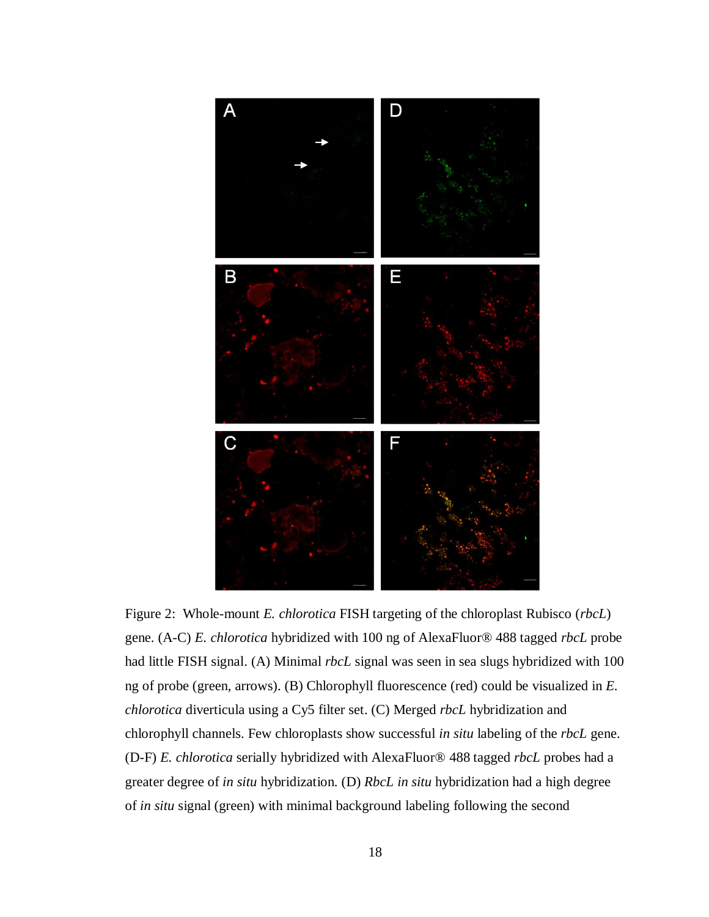

<span id="page-24-0"></span>Figure 2: Whole-mount *E. chlorotica* FISH targeting of the chloroplast Rubisco (*rbcL*) gene. (A-C) *E. chlorotica* hybridized with 100 ng of AlexaFluor® 488 tagged *rbcL* probe had little FISH signal. (A) Minimal *rbcL* signal was seen in sea slugs hybridized with 100 ng of probe (green, arrows). (B) Chlorophyll fluorescence (red) could be visualized in *E. chlorotica* diverticula using a Cy5 filter set. (C) Merged *rbcL* hybridization and chlorophyll channels. Few chloroplasts show successful *in situ* labeling of the *rbcL* gene. (D-F) *E. chlorotica* serially hybridized with AlexaFluor® 488 tagged *rbcL* probes had a greater degree of *in situ* hybridization. (D) *RbcL in situ* hybridization had a high degree of *in situ* signal (green) with minimal background labeling following the second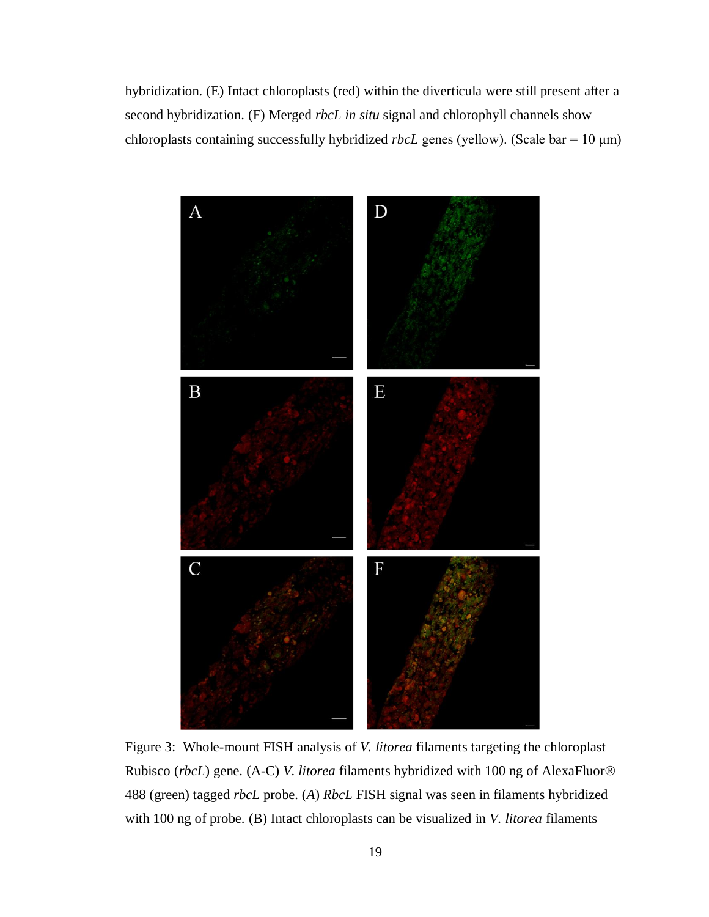hybridization. (E) Intact chloroplasts (red) within the diverticula were still present after a second hybridization. (F) Merged *rbcL in situ* signal and chlorophyll channels show chloroplasts containing successfully hybridized *rbcL* genes (yellow). (Scale bar = 10 μm)



<span id="page-25-0"></span>Figure 3: Whole-mount FISH analysis of *V. litorea* filaments targeting the chloroplast Rubisco (*rbcL*) gene. (A-C) *V. litorea* filaments hybridized with 100 ng of AlexaFluor® 488 (green) tagged *rbcL* probe. (*A*) *RbcL* FISH signal was seen in filaments hybridized with 100 ng of probe. (B) Intact chloroplasts can be visualized in *V. litorea* filaments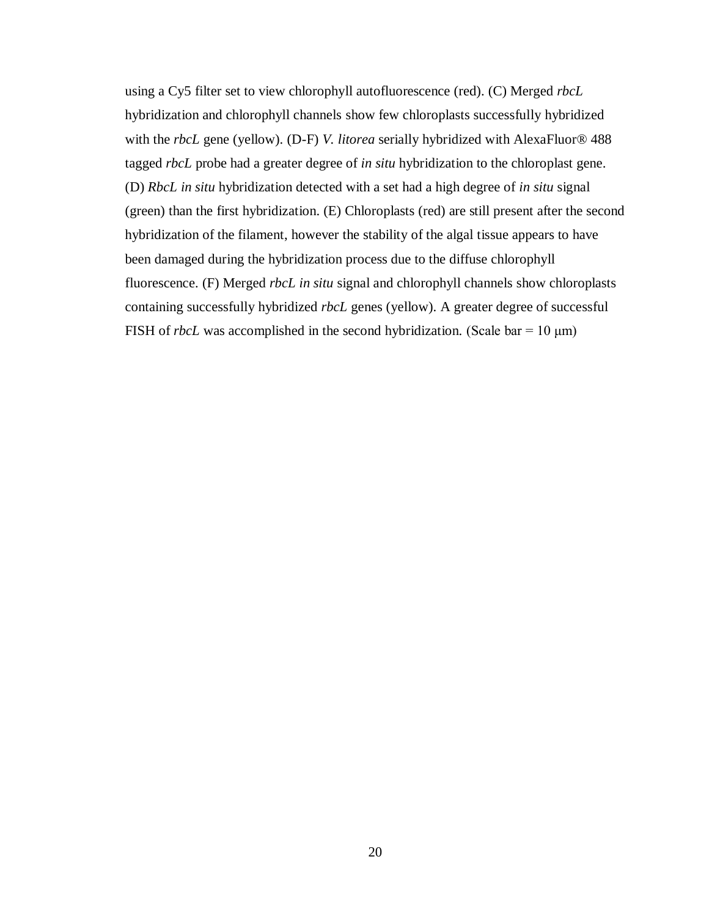using a Cy5 filter set to view chlorophyll autofluorescence (red). (C) Merged *rbcL* hybridization and chlorophyll channels show few chloroplasts successfully hybridized with the *rbcL* gene (yellow). (D-F) *V. litorea* serially hybridized with AlexaFluor® 488 tagged *rbcL* probe had a greater degree of *in situ* hybridization to the chloroplast gene. (D) *RbcL in situ* hybridization detected with a set had a high degree of *in situ* signal (green) than the first hybridization. (E) Chloroplasts (red) are still present after the second hybridization of the filament, however the stability of the algal tissue appears to have been damaged during the hybridization process due to the diffuse chlorophyll fluorescence. (F) Merged *rbcL in situ* signal and chlorophyll channels show chloroplasts containing successfully hybridized *rbcL* genes (yellow). A greater degree of successful FISH of *rbcL* was accomplished in the second hybridization. (Scale bar =  $10 \mu m$ )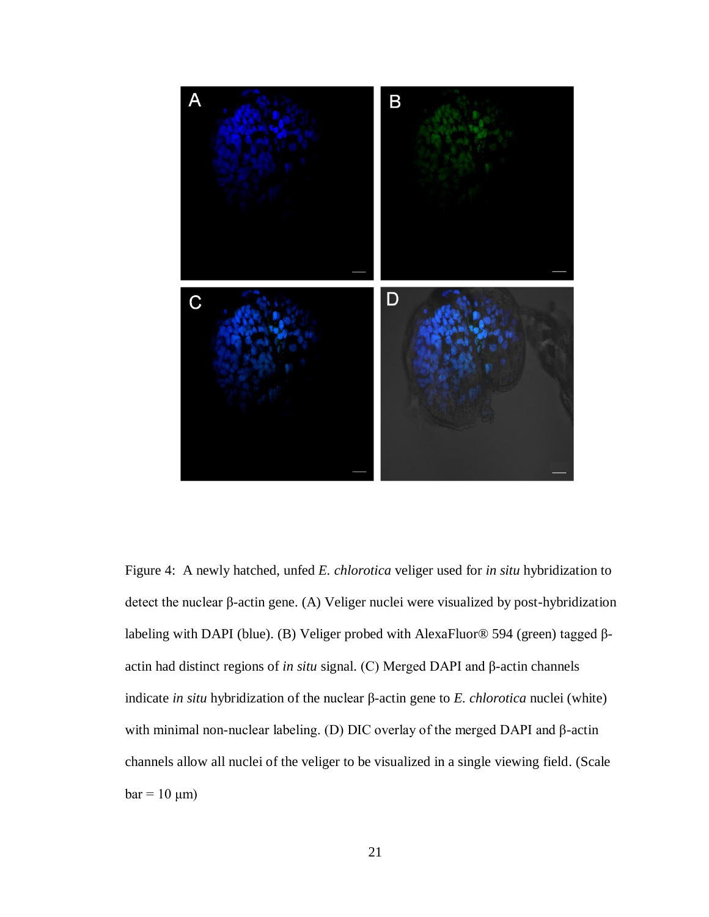

<span id="page-27-0"></span>Figure 4: A newly hatched, unfed *E. chlorotica* veliger used for *in situ* hybridization to detect the nuclear β-actin gene. (A) Veliger nuclei were visualized by post-hybridization labeling with DAPI (blue). (B) Veliger probed with AlexaFluor® 594 (green) tagged βactin had distinct regions of *in situ* signal. (C) Merged DAPI and β-actin channels indicate *in situ* hybridization of the nuclear β-actin gene to *E. chlorotica* nuclei (white) with minimal non-nuclear labeling. (D) DIC overlay of the merged DAPI and β-actin channels allow all nuclei of the veliger to be visualized in a single viewing field. (Scale  $bar = 10 \mu m$ )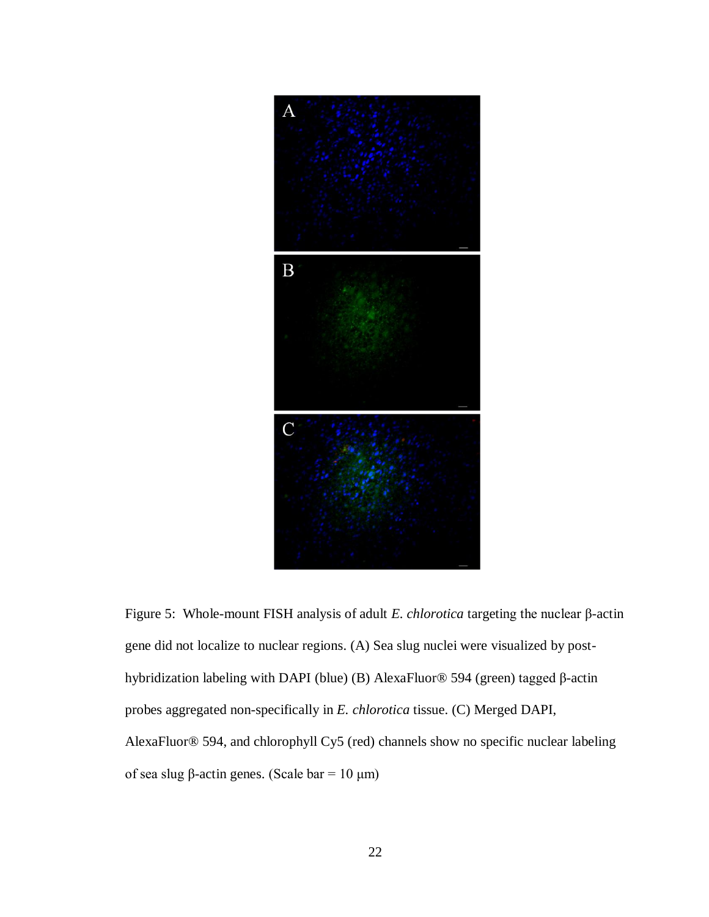

<span id="page-28-0"></span>Figure 5: Whole-mount FISH analysis of adult *E. chlorotica* targeting the nuclear β-actin gene did not localize to nuclear regions. (A) Sea slug nuclei were visualized by posthybridization labeling with DAPI (blue) (B) AlexaFluor® 594 (green) tagged β-actin probes aggregated non-specifically in *E. chlorotica* tissue. (C) Merged DAPI, AlexaFluor® 594, and chlorophyll Cy5 (red) channels show no specific nuclear labeling of sea slug β-actin genes. (Scale bar = 10 μm)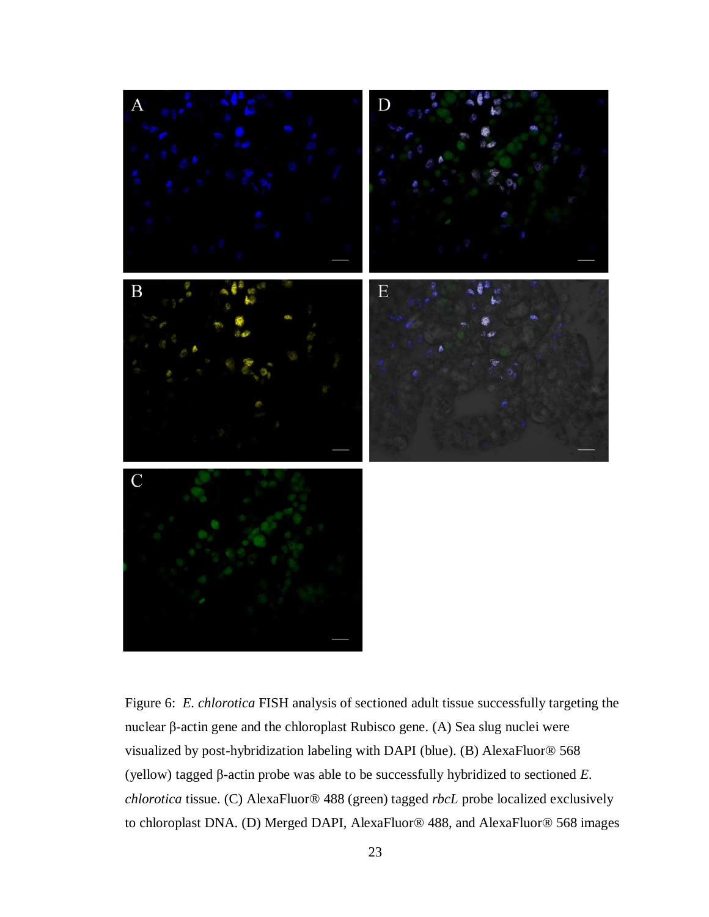

<span id="page-29-0"></span>Figure 6: *E. chlorotica* FISH analysis of sectioned adult tissue successfully targeting the nuclear β-actin gene and the chloroplast Rubisco gene. (A) Sea slug nuclei were visualized by post-hybridization labeling with DAPI (blue). (B) AlexaFluor® 568 (yellow) tagged β-actin probe was able to be successfully hybridized to sectioned *E. chlorotica* tissue. (C) AlexaFluor® 488 (green) tagged *rbcL* probe localized exclusively to chloroplast DNA. (D) Merged DAPI, AlexaFluor® 488, and AlexaFluor® 568 images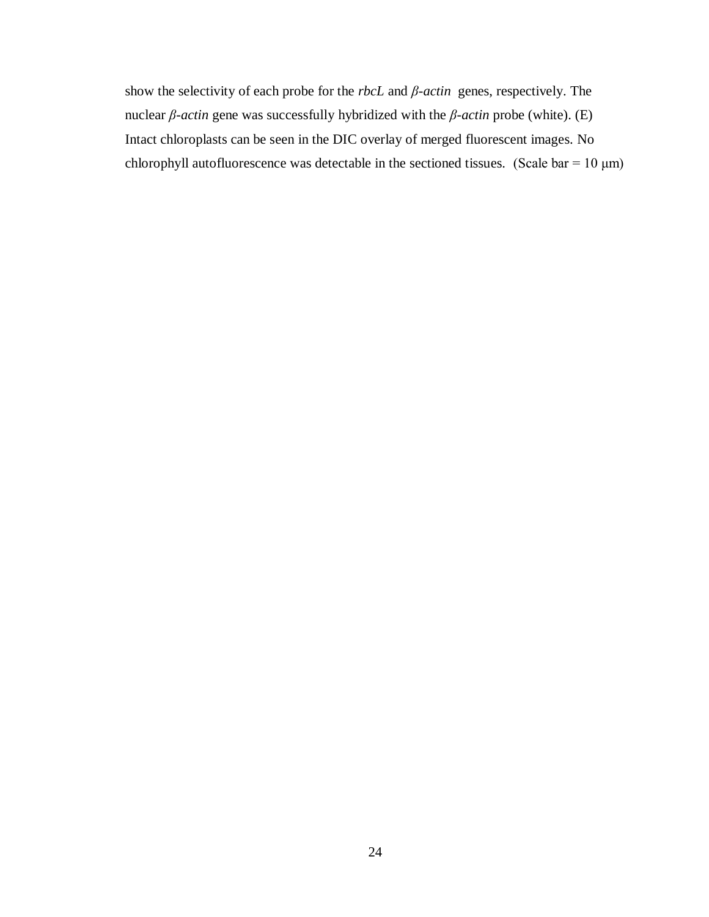show the selectivity of each probe for the *rbcL* and *β-actin* genes, respectively. The nuclear *β-actin* gene was successfully hybridized with the *β-actin* probe (white). (E) Intact chloroplasts can be seen in the DIC overlay of merged fluorescent images. No chlorophyll autofluorescence was detectable in the sectioned tissues. (Scale bar =  $10 \mu m$ )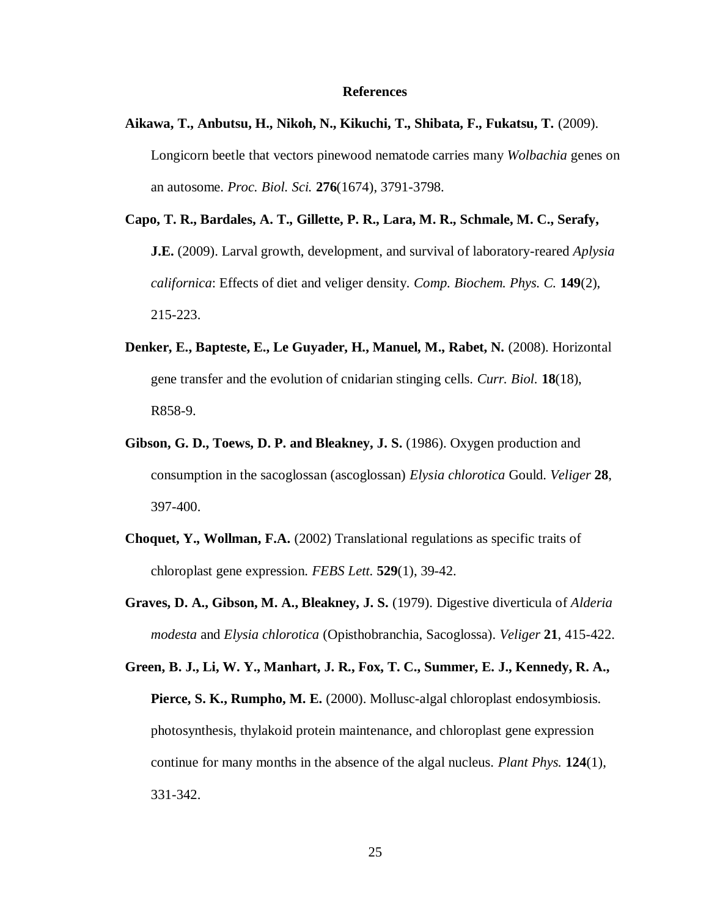## **References**

- <span id="page-31-0"></span>**Aikawa, T., Anbutsu, H., Nikoh, N., Kikuchi, T., Shibata, F., Fukatsu, T.** (2009). Longicorn beetle that vectors pinewood nematode carries many *Wolbachia* genes on an autosome. *Proc. Biol. Sci.* **276**(1674), 3791-3798.
- **Capo, T. R., Bardales, A. T., Gillette, P. R., Lara, M. R., Schmale, M. C., Serafy, J.E.** (2009). Larval growth, development, and survival of laboratory-reared *Aplysia californica*: Effects of diet and veliger density*. Comp. Biochem. Phys. C.* **149**(2), 215-223.
- **Denker, E., Bapteste, E., Le Guyader, H., Manuel, M., Rabet, N.** (2008). Horizontal gene transfer and the evolution of cnidarian stinging cells. *Curr. Biol.* **18**(18), R858-9.
- **Gibson, G. D., Toews, D. P. and Bleakney, J. S.** (1986). Oxygen production and consumption in the sacoglossan (ascoglossan) *Elysia chlorotica* Gould. *Veliger* **28**, 397-400.
- **Choquet, Y., Wollman, F.A.** (2002) Translational regulations as specific traits of chloroplast gene expression. *FEBS Lett.* **529**(1), 39-42.
- **Graves, D. A., Gibson, M. A., Bleakney, J. S.** (1979). Digestive diverticula of *Alderia modesta* and *Elysia chlorotica* (Opisthobranchia, Sacoglossa). *Veliger* **21**, 415-422.

**Green, B. J., Li, W. Y., Manhart, J. R., Fox, T. C., Summer, E. J., Kennedy, R. A., Pierce, S. K., Rumpho, M. E.** (2000). Mollusc-algal chloroplast endosymbiosis. photosynthesis, thylakoid protein maintenance, and chloroplast gene expression continue for many months in the absence of the algal nucleus. *Plant Phys.* **124**(1), 331-342.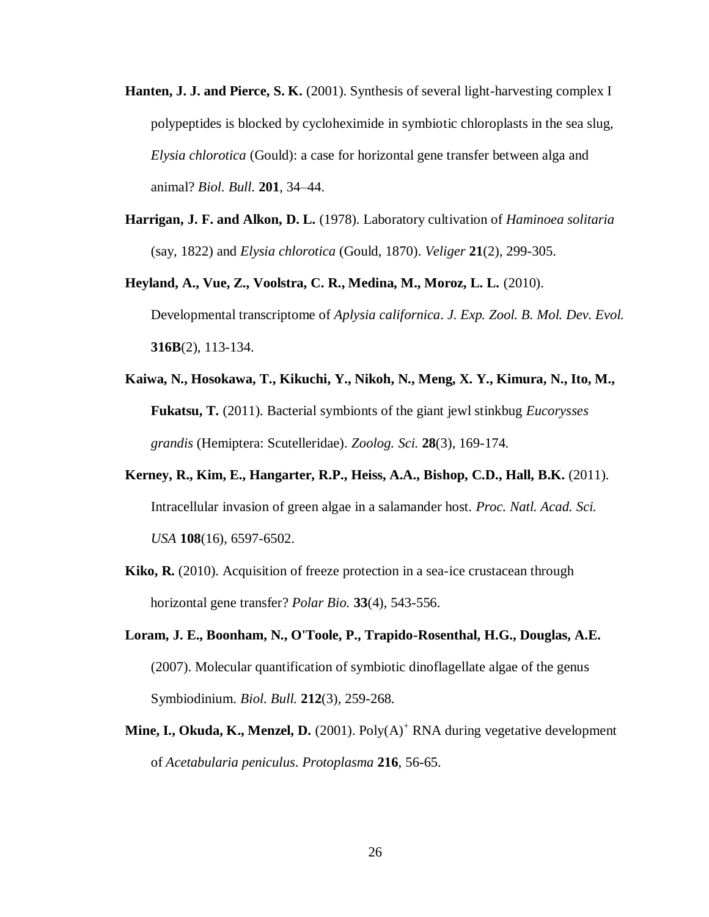- **Hanten, J. J. and Pierce, S. K.** (2001). Synthesis of several light-harvesting complex I polypeptides is blocked by cycloheximide in symbiotic chloroplasts in the sea slug, *Elysia chlorotica* (Gould): a case for horizontal gene transfer between alga and animal? *Biol. Bull.* **201**, 34–44.
- **Harrigan, J. F. and Alkon, D. L.** (1978). Laboratory cultivation of *Haminoea solitaria* (say, 1822) and *Elysia chlorotica* (Gould, 1870). *Veliger* **21**(2), 299-305.
- **Heyland, A., Vue, Z., Voolstra, C. R., Medina, M., Moroz, L. L.** (2010). Developmental transcriptome of *Aplysia californica*. *J. Exp. Zool. B. Mol. Dev. Evol.*  **316B**(2), 113-134.
- **Kaiwa, N., Hosokawa, T., Kikuchi, Y., Nikoh, N., Meng, X. Y., Kimura, N., Ito, M., Fukatsu, T.** (2011). Bacterial symbionts of the giant jewl stinkbug *Eucorysses grandis* (Hemiptera: Scutelleridae). *Zoolog. Sci.* **28**(3), 169-174.
- **Kerney, R., Kim, E., Hangarter, R.P., Heiss, A.A., Bishop, C.D., Hall, B.K.** (2011). Intracellular invasion of green algae in a salamander host. *Proc. Natl. Acad. Sci. USA* **108**(16), 6597-6502.
- **Kiko, R.** (2010). Acquisition of freeze protection in a sea-ice crustacean through horizontal gene transfer? *Polar Bio.* **33**(4), 543-556.
- **Loram, J. E., Boonham, N., O'Toole, P., Trapido-Rosenthal, H.G., Douglas, A.E.** (2007). Molecular quantification of symbiotic dinoflagellate algae of the genus Symbiodinium. *Biol. Bull.* **212**(3), 259-268.
- **Mine, I., Okuda, K., Menzel, D.** (2001). Poly(A)<sup>+</sup> RNA during vegetative development of *Acetabularia peniculus*. *Protoplasma* **216**, 56-65.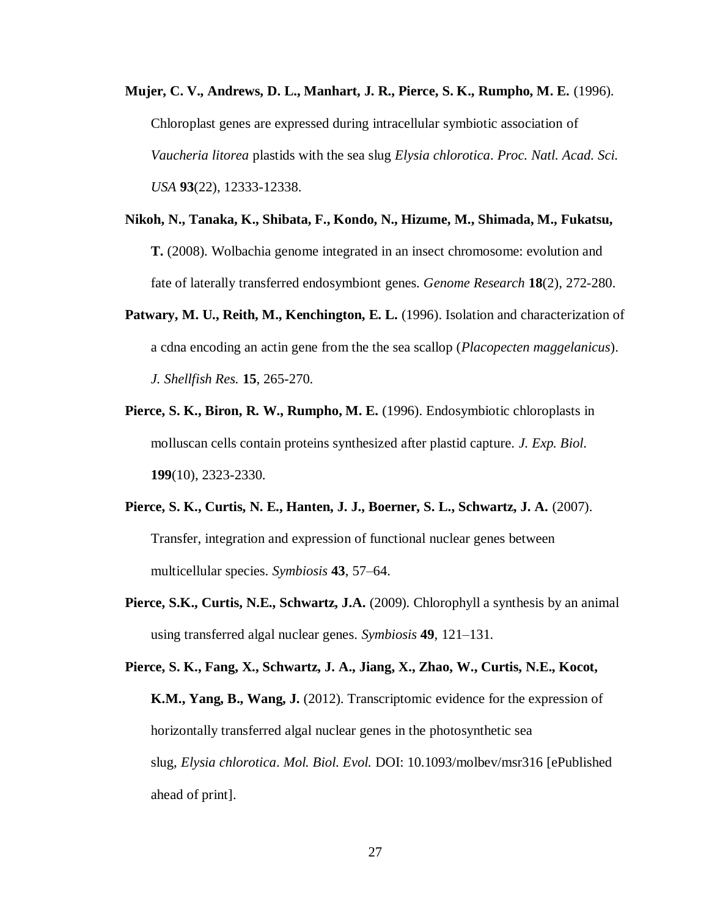- **Mujer, C. V., Andrews, D. L., Manhart, J. R., Pierce, S. K., Rumpho, M. E.** (1996). Chloroplast genes are expressed during intracellular symbiotic association of *Vaucheria litorea* plastids with the sea slug *Elysia chlorotica*. *Proc. Natl. Acad. Sci. USA* **93**(22), 12333-12338.
- **Nikoh, N., Tanaka, K., Shibata, F., Kondo, N., Hizume, M., Shimada, M., Fukatsu, T.** (2008). Wolbachia genome integrated in an insect chromosome: evolution and fate of laterally transferred endosymbiont genes. *Genome Research* **18**(2), 272-280.
- **Patwary, M. U., Reith, M., Kenchington, E. L.** (1996). Isolation and characterization of a cdna encoding an actin gene from the the sea scallop (*Placopecten maggelanicus*). *J. Shellfish Res.* **15**, 265-270.
- **Pierce, S. K., Biron, R. W., Rumpho, M. E.** (1996). Endosymbiotic chloroplasts in molluscan cells contain proteins synthesized after plastid capture. *J. Exp. Biol.* **199**(10), 2323-2330.
- **Pierce, S. K., Curtis, N. E., Hanten, J. J., Boerner, S. L., Schwartz, J. A.** (2007). Transfer, integration and expression of functional nuclear genes between multicellular species. *Symbiosis* **43**, 57–64.
- **Pierce, S.K., Curtis, N.E., Schwartz, J.A.** (2009). Chlorophyll a synthesis by an animal using transferred algal nuclear genes. *Symbiosis* **49**, 121–131.

**Pierce, S. K., Fang, X., Schwartz, J. A., Jiang, X., Zhao, W., Curtis, N.E., Kocot, K.M., Yang, B., Wang, J.** (2012). Transcriptomic evidence for the expression of horizontally transferred algal nuclear genes in the photosynthetic sea slug, *Elysia chlorotica*. *Mol. Biol. Evol.* DOI: 10.1093/molbev/msr316 [ePublished ahead of print].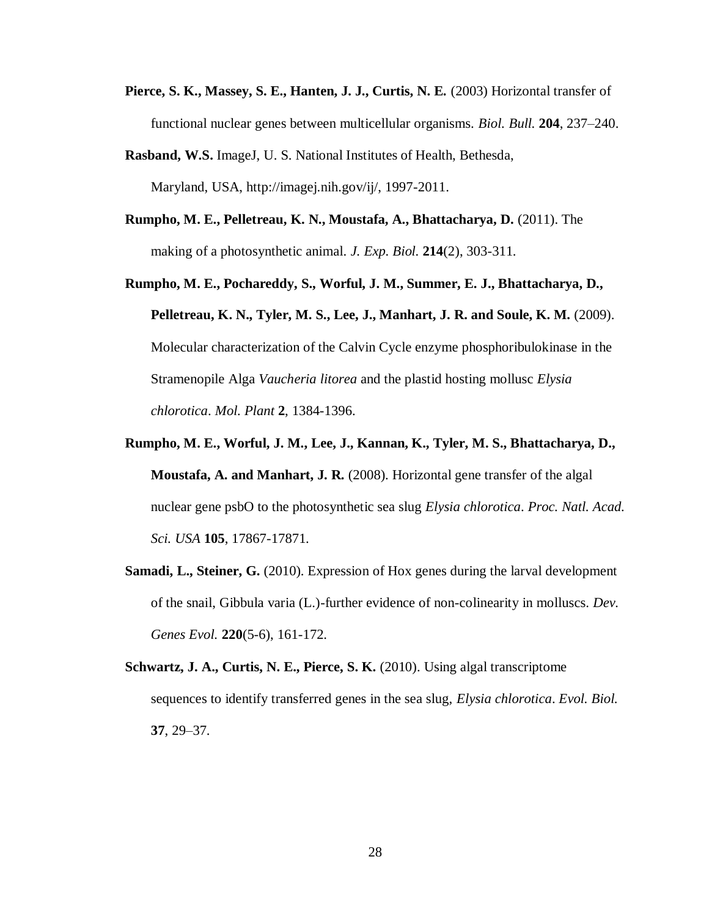- **Pierce, S. K., Massey, S. E., Hanten, J. J., Curtis, N. E.** (2003) Horizontal transfer of functional nuclear genes between multicellular organisms. *Biol. Bull.* **204**, 237–240.
- **Rasband, W.S.** ImageJ, U. S. National Institutes of Health, Bethesda, Maryland, USA, http://imagej.nih.gov/ij/, 1997-2011.
- **Rumpho, M. E., Pelletreau, K. N., Moustafa, A., Bhattacharya, D.** (2011). The making of a photosynthetic animal. *J. Exp. Biol.* **214**(2), 303-311.
- **Rumpho, M. E., Pochareddy, S., Worful, J. M., Summer, E. J., Bhattacharya, D., Pelletreau, K. N., Tyler, M. S., Lee, J., Manhart, J. R. and Soule, K. M.** (2009). Molecular characterization of the Calvin Cycle enzyme phosphoribulokinase in the Stramenopile Alga *Vaucheria litorea* and the plastid hosting mollusc *Elysia chlorotica*. *Mol. Plant* **2**, 1384-1396.
- **Rumpho, M. E., Worful, J. M., Lee, J., Kannan, K., Tyler, M. S., Bhattacharya, D., Moustafa, A. and Manhart, J. R.** (2008). Horizontal gene transfer of the algal nuclear gene psbO to the photosynthetic sea slug *Elysia chlorotica*. *Proc. Natl. Acad. Sci. USA* **105**, 17867-17871.
- **Samadi, L., Steiner, G.** (2010). Expression of Hox genes during the larval development of the snail, Gibbula varia (L.)-further evidence of non-colinearity in molluscs. *Dev. Genes Evol.* **220**(5-6), 161-172.
- **Schwartz, J. A., Curtis, N. E., Pierce, S. K.** (2010). Using algal transcriptome sequences to identify transferred genes in the sea slug, *Elysia chlorotica*. *Evol. Biol.* **37**, 29–37.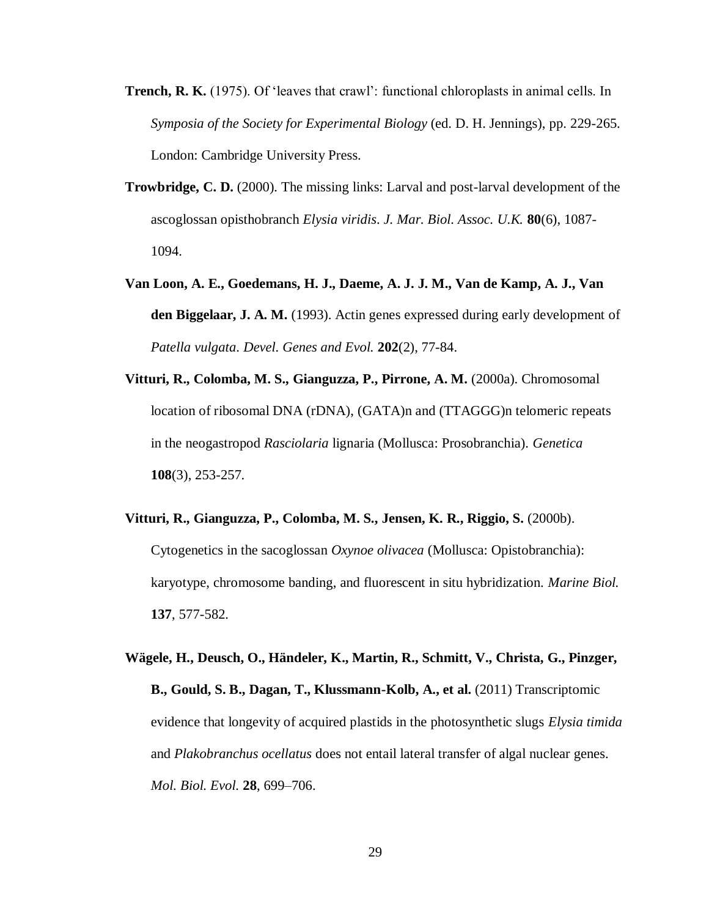- **Trench, R. K.** (1975). Of 'leaves that crawl': functional chloroplasts in animal cells. In *Symposia of the Society for Experimental Biology* (ed. D. H. Jennings), pp. 229-265. London: Cambridge University Press.
- **Trowbridge, C. D.** (2000). The missing links: Larval and post-larval development of the ascoglossan opisthobranch *Elysia viridis*. *J. Mar. Biol. Assoc. U.K.* **80**(6), 1087- 1094.
- **Van Loon, A. E., Goedemans, H. J., Daeme, A. J. J. M., Van de Kamp, A. J., Van den Biggelaar, J. A. M.** (1993). Actin genes expressed during early development of *Patella vulgata*. *Devel. Genes and Evol.* **202**(2), 77-84.
- **Vitturi, R., Colomba, M. S., Gianguzza, P., Pirrone, A. M.** (2000a). Chromosomal location of ribosomal DNA (rDNA), (GATA)n and (TTAGGG)n telomeric repeats in the neogastropod *Rasciolaria* lignaria (Mollusca: Prosobranchia). *Genetica* **108**(3), 253-257.
- **Vitturi, R., Gianguzza, P., Colomba, M. S., Jensen, K. R., Riggio, S.** (2000b). Cytogenetics in the sacoglossan *Oxynoe olivacea* (Mollusca: Opistobranchia): karyotype, chromosome banding, and fluorescent in situ hybridization. *Marine Biol.*  **137**, 577-582.
- **Wägele, H., Deusch, O., Händeler, K., Martin, R., Schmitt, V., Christa, G., Pinzger, B., Gould, S. B., Dagan, T., Klussmann-Kolb, A., et al.** (2011) Transcriptomic evidence that longevity of acquired plastids in the photosynthetic slugs *Elysia timida* and *Plakobranchus ocellatus* does not entail lateral transfer of algal nuclear genes. *Mol. Biol. Evol.* **28**, 699–706.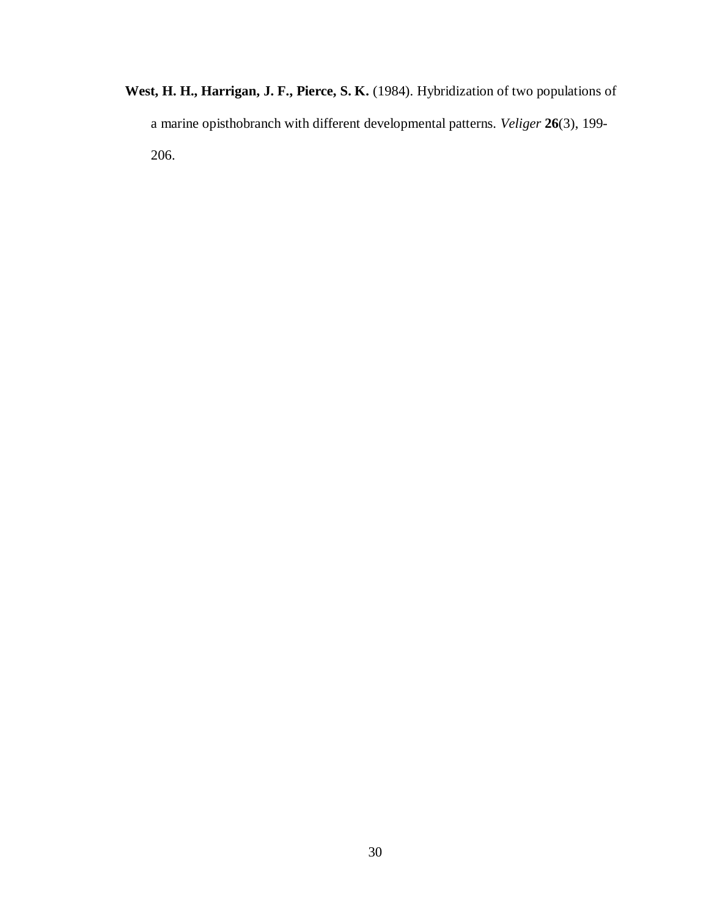**West, H. H., Harrigan, J. F., Pierce, S. K.** (1984). Hybridization of two populations of a marine opisthobranch with different developmental patterns. *Veliger* **26**(3), 199- 206.